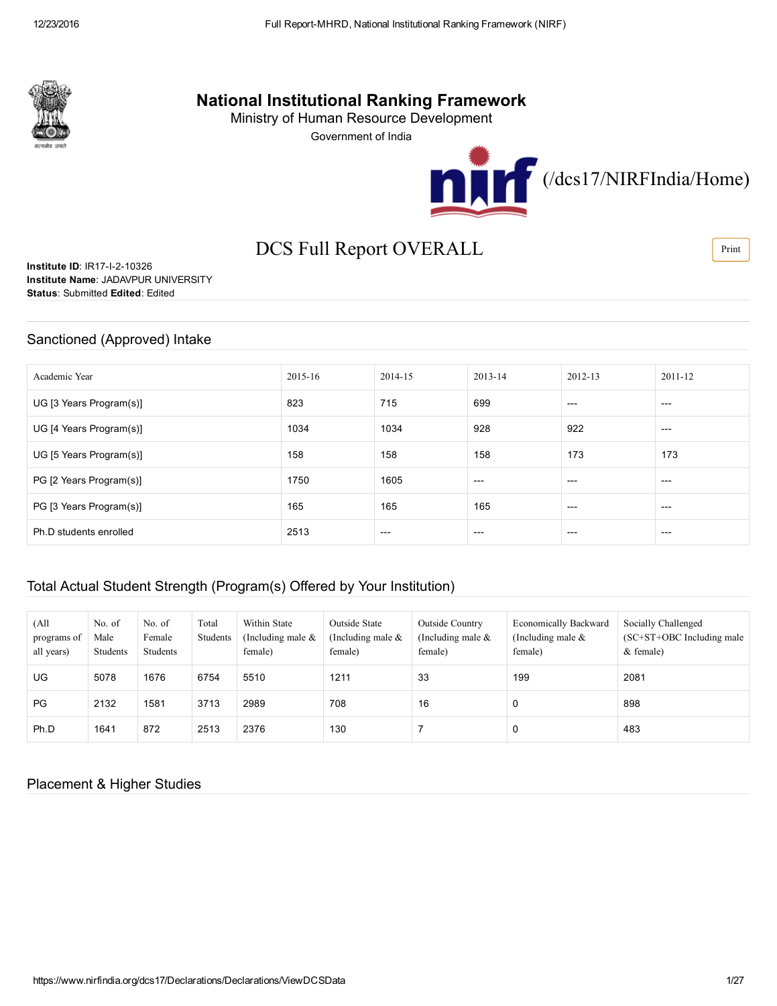

# National Institutional Ranking Framework

Ministry of Human Resource Development

Government of India



# DCS Full Report OVERALL

**Institute ID: IR17-I-2-10326** Institute Name: JADAVPUR UNIVERSITY Status: Submitted Edited: Edited

### Sanctioned (Approved) Intake

| Academic Year           | 2015-16 | 2014-15 | $2013 - 14$ | 2012-13 | 2011-12 |
|-------------------------|---------|---------|-------------|---------|---------|
| UG [3 Years Program(s)] | 823     | 715     | 699         | $---$   | $---$   |
| UG [4 Years Program(s)] | 1034    | 1034    | 928         | 922     | $---$   |
| UG [5 Years Program(s)] | 158     | 158     | 158         | 173     | 173     |
| PG [2 Years Program(s)] | 1750    | 1605    | $---$       | $---$   | $---$   |
| PG [3 Years Program(s)] | 165     | 165     | 165         | $---$   | $---$   |
| Ph.D students enrolled  | 2513    | $---$   | $---$       | $---$   | $---$   |

## Total Actual Student Strength (Program(s) Offered by Your Institution)

| (All<br>programs of<br>all years) | No. of<br>Male<br>Students | No. of<br>Female<br>Students | Total<br>Students | Within State<br>(Including male $\&$<br>female) | Outside State<br>(Including male $\&$<br>female) | Outside Country<br>(Including male $\&$<br>female) | <b>Economically Backward</b><br>(Including male $\&$<br>female) | Socially Challenged<br>$SC+ST+OBC$ Including male<br>$&$ female) |
|-----------------------------------|----------------------------|------------------------------|-------------------|-------------------------------------------------|--------------------------------------------------|----------------------------------------------------|-----------------------------------------------------------------|------------------------------------------------------------------|
| UG                                | 5078                       | 1676                         | 6754              | 5510                                            | 1211                                             | 33                                                 | 199                                                             | 2081                                                             |
| PG                                | 2132                       | 1581                         | 3713              | 2989                                            | 708                                              | 16                                                 | 0                                                               | 898                                                              |
| Ph.D                              | 1641                       | 872                          | 2513              | 2376                                            | 130                                              |                                                    | 0                                                               | 483                                                              |

## Placement & Higher Studies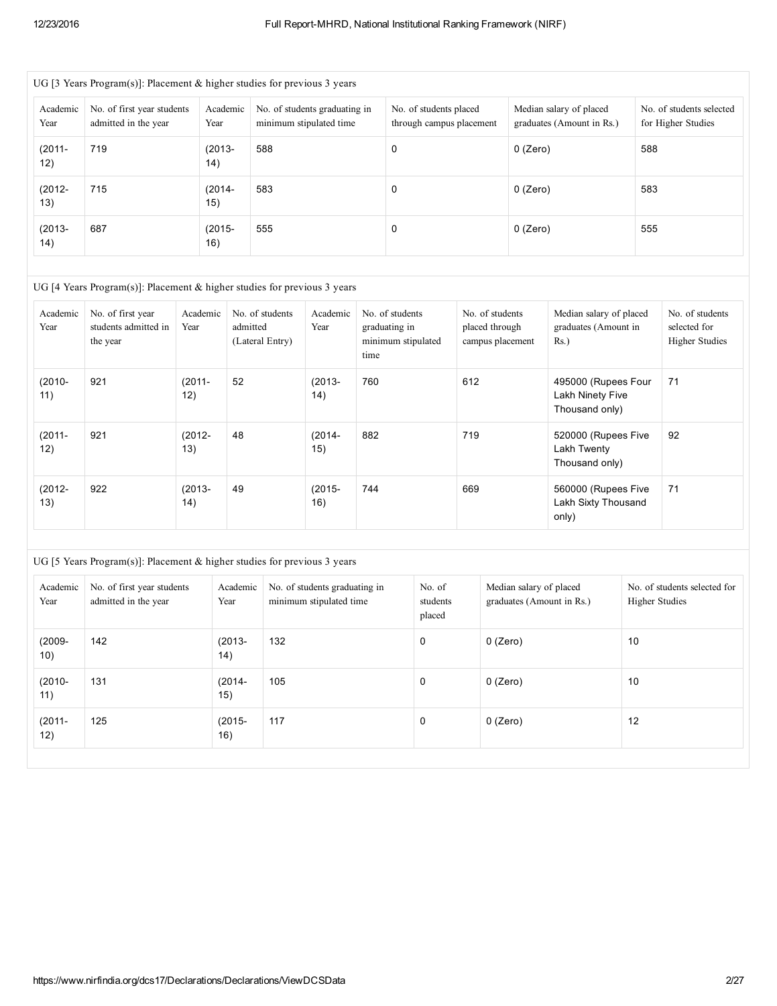| UG [3 Years Program(s)]: Placement & higher studies for previous 3 years |                                                    |                   |                                                          |                                                    |                                                      |                                                |  |  |  |  |
|--------------------------------------------------------------------------|----------------------------------------------------|-------------------|----------------------------------------------------------|----------------------------------------------------|------------------------------------------------------|------------------------------------------------|--|--|--|--|
| Academic<br>Year                                                         | No. of first year students<br>admitted in the year | Academic<br>Year  | No. of students graduating in<br>minimum stipulated time | No. of students placed<br>through campus placement | Median salary of placed<br>graduates (Amount in Rs.) | No. of students selected<br>for Higher Studies |  |  |  |  |
| $(2011 -$<br>12)                                                         | 719                                                | $(2013 -$<br>(14) | 588                                                      | 0                                                  | 0 (Zero)                                             | 588                                            |  |  |  |  |
| $(2012 -$<br>13)                                                         | 715                                                | $(2014 -$<br>15)  | 583                                                      | 0                                                  | 0 (Zero)                                             | 583                                            |  |  |  |  |
| $(2013 -$<br>14)                                                         | 687                                                | $(2015 -$<br>16)  | 555                                                      | 0                                                  | 0 (Zero)                                             | 555                                            |  |  |  |  |

#### UG [4 Years Program(s)]: Placement & higher studies for previous 3 years

| Academic<br>Year | No. of first year<br>students admitted in<br>the year | Academic<br>Year | No. of students<br>admitted<br>(Lateral Entry) | Academic<br>Year | No. of students<br>graduating in<br>minimum stipulated<br>time | No. of students<br>placed through<br>campus placement | Median salary of placed<br>graduates (Amount in<br>$Rs.$ ) | No. of students<br>selected for<br><b>Higher Studies</b> |
|------------------|-------------------------------------------------------|------------------|------------------------------------------------|------------------|----------------------------------------------------------------|-------------------------------------------------------|------------------------------------------------------------|----------------------------------------------------------|
| $(2010 -$<br>11) | 921                                                   | $(2011 -$<br>12) | 52                                             | $(2013 -$<br>14) | 760                                                            | 612                                                   | 495000 (Rupees Four<br>Lakh Ninety Five<br>Thousand only)  | 71                                                       |
| $(2011 -$<br>12) | 921                                                   | $(2012 -$<br>13) | 48                                             | $(2014 -$<br>15) | 882                                                            | 719                                                   | 520000 (Rupees Five<br>Lakh Twenty<br>Thousand only)       | 92                                                       |
| $(2012 -$<br>13) | 922                                                   | $(2013 -$<br>14) | 49                                             | $(2015 -$<br>16) | 744                                                            | 669                                                   | 560000 (Rupees Five<br>Lakh Sixty Thousand<br>only)        | 71                                                       |

| UG [5 Years Program(s)]: Placement & higher studies for previous 3 years |                                                                                                                              |                  |                                                                                          |             |                                                      |                                                       |  |  |  |  |
|--------------------------------------------------------------------------|------------------------------------------------------------------------------------------------------------------------------|------------------|------------------------------------------------------------------------------------------|-------------|------------------------------------------------------|-------------------------------------------------------|--|--|--|--|
| Academic<br>Year                                                         | No. of first year students<br>Academic<br>Year<br>admitted in the year<br>142<br>$(2013 -$<br>14)<br>131<br>$(2014 -$<br>15) |                  | No. of students graduating in<br>No. of<br>minimum stipulated time<br>students<br>placed |             | Median salary of placed<br>graduates (Amount in Rs.) | No. of students selected for<br><b>Higher Studies</b> |  |  |  |  |
| $(2009 -$<br>10)                                                         |                                                                                                                              |                  | 132                                                                                      | 0           | 0 (Zero)                                             | 10                                                    |  |  |  |  |
| $(2010 -$<br>11)                                                         |                                                                                                                              |                  | 105                                                                                      | 0           | 0 (Zero)                                             | 10                                                    |  |  |  |  |
| $(2011 -$<br>12)                                                         | 125                                                                                                                          | $(2015 -$<br>16) | 117                                                                                      | $\mathbf 0$ | 0 (Zero)                                             | 12                                                    |  |  |  |  |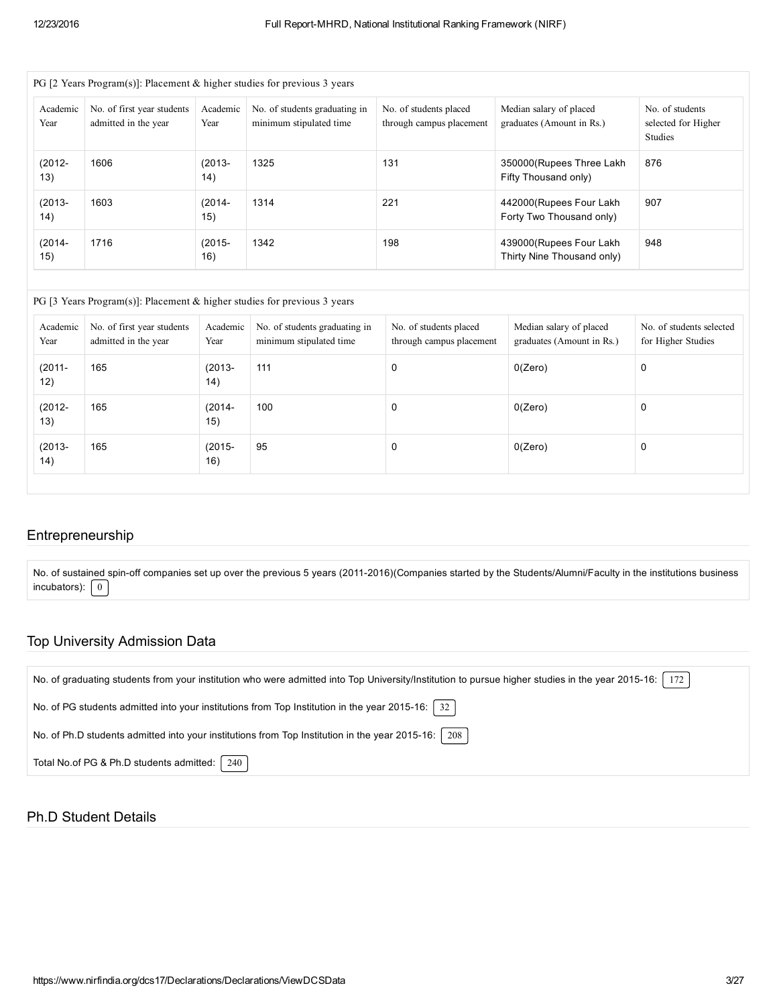| Academic<br>Year | No. of first year students<br>admitted in the year | Academic<br>Year  | No. of students graduating in<br>No. of students placed<br>minimum stipulated time<br>through campus placement |     | Median salary of placed<br>graduates (Amount in Rs.)   | No. of students<br>selected for Higher<br><b>Studies</b> |  |
|------------------|----------------------------------------------------|-------------------|----------------------------------------------------------------------------------------------------------------|-----|--------------------------------------------------------|----------------------------------------------------------|--|
| $(2012 -$<br>13) | 1606                                               | $(2013 -$<br>(14) | 1325                                                                                                           | 131 | 350000 (Rupees Three Lakh<br>Fifty Thousand only)      | 876                                                      |  |
| $(2013 -$<br>14) | 1603                                               | $(2014 -$<br>15)  | 1314                                                                                                           | 221 | 442000 (Rupees Four Lakh<br>Forty Two Thousand only)   | 907                                                      |  |
| $(2014 -$<br>15) | 1716                                               | $(2015 -$<br>16)  | 1342                                                                                                           | 198 | 439000 (Rupees Four Lakh<br>Thirty Nine Thousand only) | 948                                                      |  |

| Academic  <br>Year | No. of first year students<br>admitted in the year | Academic<br>Year | No. of students graduating in<br>minimum stipulated time | No. of students placed<br>through campus placement | Median salary of placed<br>graduates (Amount in Rs.) | No. of students selected<br>for Higher Studies |
|--------------------|----------------------------------------------------|------------------|----------------------------------------------------------|----------------------------------------------------|------------------------------------------------------|------------------------------------------------|
| $(2011 -$<br>12)   | 165                                                | $(2013 -$<br>14) | 111                                                      | 0                                                  | 0(Zero)                                              | 0                                              |
| $(2012 -$<br>13)   | 165                                                | $(2014 -$<br>15) | 100                                                      | 0                                                  | 0(Zero)                                              | 0                                              |
| $(2013 -$<br>14)   | 165                                                | $(2015 -$<br>16) | 95                                                       | 0                                                  | 0(Zero)                                              | 0                                              |

## Entrepreneurship

No. of sustained spin-off companies set up over the previous 5 years (2011-2016)(Companies started by the Students/Alumni/Faculty in the institutions business incubators):  $\boxed{0}$ 

## Top University Admission Data

| No. of graduating students from your institution who were admitted into Top University/Institution to pursue higher studies in the year 2015-16:<br>172 |
|---------------------------------------------------------------------------------------------------------------------------------------------------------|
| No. of PG students admitted into your institutions from Top Institution in the year 2015-16:   32                                                       |
| No. of Ph.D students admitted into your institutions from Top Institution in the year 2015-16: 208                                                      |
| 240<br>Total No.of PG & Ph.D students admitted:                                                                                                         |

### Ph.D Student Details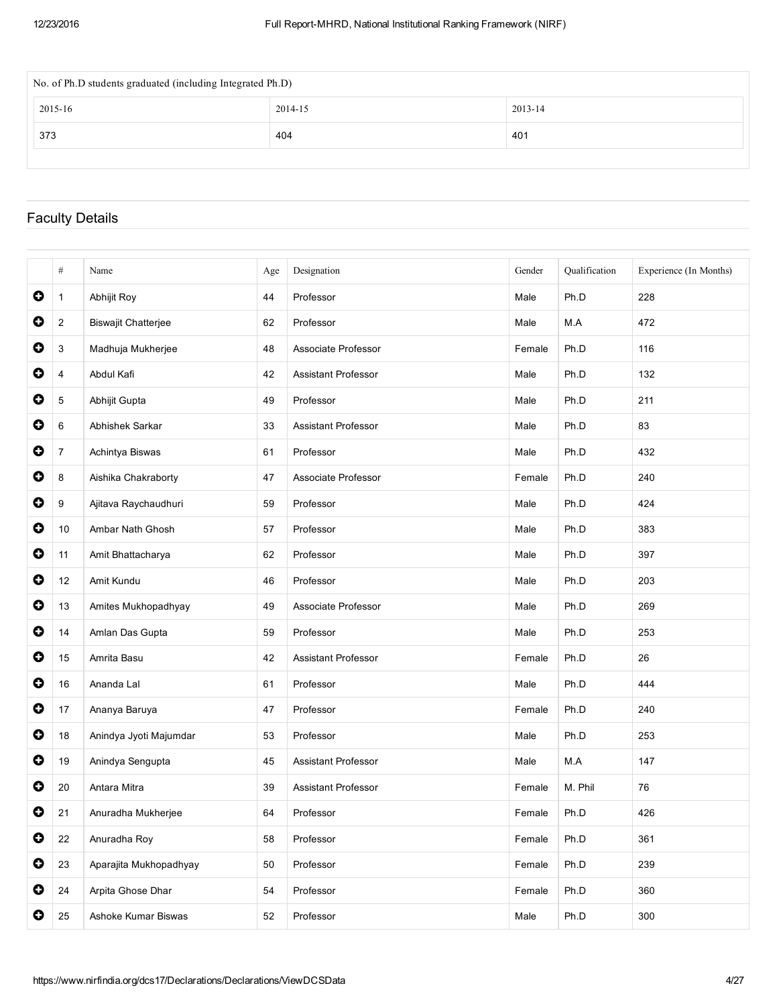| No. of Ph.D students graduated (including Integrated Ph.D) |         |  |  |  |  |  |  |  |
|------------------------------------------------------------|---------|--|--|--|--|--|--|--|
| 2015-16                                                    | 2013-14 |  |  |  |  |  |  |  |
| 373<br>404<br>401                                          |         |  |  |  |  |  |  |  |
|                                                            |         |  |  |  |  |  |  |  |

# Faculty Details

|           | #              | Name                       | Age | Designation                | Gender | Qualification | Experience (In Months) |
|-----------|----------------|----------------------------|-----|----------------------------|--------|---------------|------------------------|
| $\bullet$ | $\mathbf{1}$   | Abhijit Roy                | 44  | Professor                  | Male   | Ph.D          | 228                    |
| 0         | $\overline{2}$ | <b>Biswajit Chatterjee</b> | 62  | Professor                  | Male   | M.A           | 472                    |
| 0         | 3              | Madhuja Mukherjee          | 48  | Associate Professor        | Female | Ph.D          | 116                    |
| 0         | 4              | Abdul Kafi                 | 42  | <b>Assistant Professor</b> | Male   | Ph.D          | 132                    |
| 0         | 5              | Abhijit Gupta              | 49  | Professor                  | Male   | Ph.D          | 211                    |
| 0         | 6              | Abhishek Sarkar            | 33  | Assistant Professor        | Male   | Ph.D          | 83                     |
| 0         | $\overline{7}$ | Achintya Biswas            | 61  | Professor                  | Male   | Ph.D          | 432                    |
| 0         | 8              | Aishika Chakraborty        | 47  | Associate Professor        | Female | Ph.D          | 240                    |
| 0         | 9              | Ajitava Raychaudhuri       | 59  | Professor                  | Male   | Ph.D          | 424                    |
| $\bullet$ | 10             | Ambar Nath Ghosh           | 57  | Professor                  | Male   | Ph.D          | 383                    |
| 0         | 11             | Amit Bhattacharya          | 62  | Professor                  | Male   | Ph.D          | 397                    |
| 0         | 12             | Amit Kundu                 | 46  | Professor                  | Male   | Ph.D          | 203                    |
| 0         | 13             | Amites Mukhopadhyay        | 49  | Associate Professor        | Male   | Ph.D          | 269                    |
| $\bullet$ | 14             | Amlan Das Gupta            | 59  | Professor                  | Male   | Ph.D          | 253                    |
| 0         | 15             | Amrita Basu                | 42  | <b>Assistant Professor</b> | Female | Ph.D          | 26                     |
| 0         | 16             | Ananda Lal                 | 61  | Professor                  | Male   | Ph.D          | 444                    |
| 0         | 17             | Ananya Baruya              | 47  | Professor                  | Female | Ph.D          | 240                    |
| $\bullet$ | 18             | Anindya Jyoti Majumdar     | 53  | Professor                  | Male   | Ph.D          | 253                    |
| 0         | 19             | Anindya Sengupta           | 45  | Assistant Professor        | Male   | M.A           | 147                    |
| 0         | 20             | Antara Mitra               | 39  | <b>Assistant Professor</b> | Female | M. Phil       | 76                     |
| 0         | 21             | Anuradha Mukherjee         | 64  | Professor                  | Female | Ph.D          | 426                    |
| $\bullet$ | 22             | Anuradha Roy               | 58  | Professor                  | Female | Ph.D          | 361                    |
| $\bullet$ | 23             | Aparajita Mukhopadhyay     | 50  | Professor                  | Female | Ph.D          | 239                    |
| 0         | 24             | Arpita Ghose Dhar          | 54  | Professor                  | Female | Ph.D          | 360                    |
| 0         | 25             | Ashoke Kumar Biswas        | 52  | Professor                  | Male   | Ph.D          | 300                    |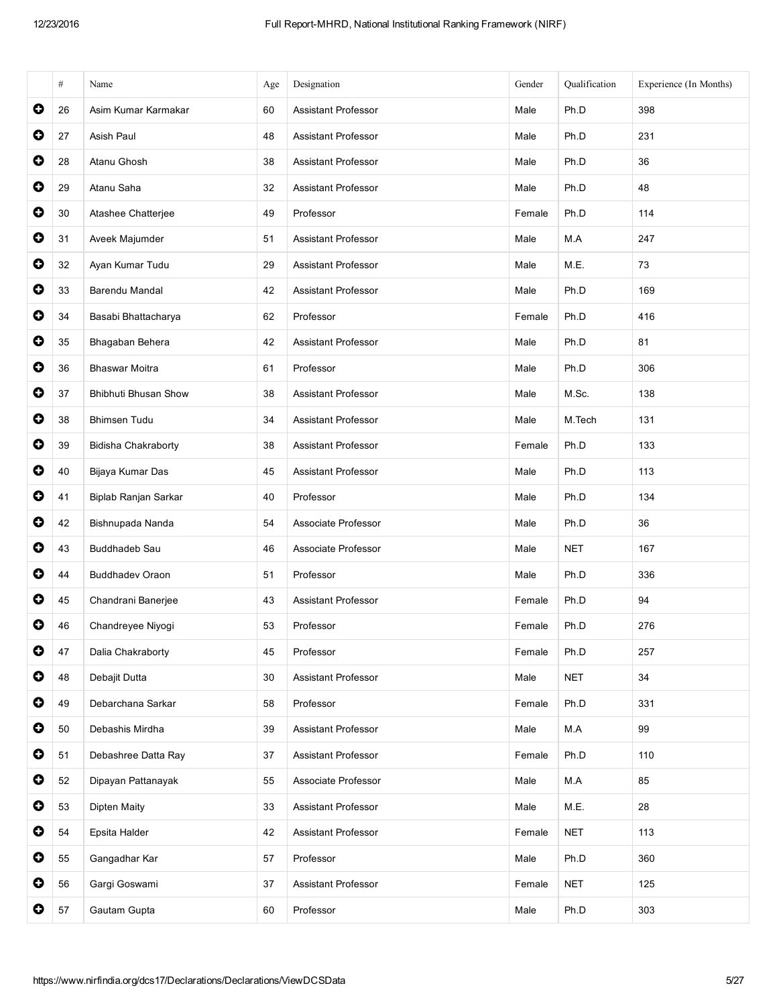|           | #  | Name                        | Age | Designation                | Gender | Qualification | Experience (In Months) |
|-----------|----|-----------------------------|-----|----------------------------|--------|---------------|------------------------|
| 0         | 26 | Asim Kumar Karmakar         | 60  | <b>Assistant Professor</b> | Male   | Ph.D          | 398                    |
| 0         | 27 | Asish Paul                  | 48  | Assistant Professor        | Male   | Ph.D          | 231                    |
| $\bullet$ | 28 | Atanu Ghosh                 | 38  | <b>Assistant Professor</b> | Male   | Ph.D          | 36                     |
| $\bullet$ | 29 | Atanu Saha                  | 32  | <b>Assistant Professor</b> | Male   | Ph.D          | 48                     |
| $\bullet$ | 30 | Atashee Chatterjee          | 49  | Professor                  | Female | Ph.D          | 114                    |
| 0         | 31 | Aveek Majumder              | 51  | <b>Assistant Professor</b> | Male   | M.A           | 247                    |
| $\bullet$ | 32 | Ayan Kumar Tudu             | 29  | <b>Assistant Professor</b> | Male   | M.E.          | 73                     |
| $\bullet$ | 33 | Barendu Mandal              | 42  | Assistant Professor        | Male   | Ph.D          | 169                    |
| $\bullet$ | 34 | Basabi Bhattacharya         | 62  | Professor                  | Female | Ph.D          | 416                    |
| $\bullet$ | 35 | Bhagaban Behera             | 42  | <b>Assistant Professor</b> | Male   | Ph.D          | 81                     |
| 0         | 36 | <b>Bhaswar Moitra</b>       | 61  | Professor                  | Male   | Ph.D          | 306                    |
| $\bullet$ | 37 | <b>Bhibhuti Bhusan Show</b> | 38  | <b>Assistant Professor</b> | Male   | M.Sc.         | 138                    |
| $\bullet$ | 38 | <b>Bhimsen Tudu</b>         | 34  | Assistant Professor        | Male   | M.Tech        | 131                    |
| 0         | 39 | Bidisha Chakraborty         | 38  | <b>Assistant Professor</b> | Female | Ph.D          | 133                    |
| $\bullet$ | 40 | Bijaya Kumar Das            | 45  | Assistant Professor        | Male   | Ph.D          | 113                    |
| $\bullet$ | 41 | Biplab Ranjan Sarkar        | 40  | Professor                  | Male   | Ph.D          | 134                    |
| $\bullet$ | 42 | Bishnupada Nanda            | 54  | Associate Professor        | Male   | Ph.D          | 36                     |
| $\bullet$ | 43 | <b>Buddhadeb Sau</b>        | 46  | Associate Professor        | Male   | <b>NET</b>    | 167                    |
| 0         | 44 | <b>Buddhadev Oraon</b>      | 51  | Professor                  | Male   | Ph.D          | 336                    |
| $\bullet$ | 45 | Chandrani Banerjee          | 43  | <b>Assistant Professor</b> | Female | Ph.D          | 94                     |
| $\bullet$ | 46 | Chandreyee Niyogi           | 53  | Professor                  | Female | Ph.D          | 276                    |
| 0         | 47 | Dalia Chakraborty           | 45  | Professor                  | Female | Ph.D          | 257                    |
| 0         | 48 | Debajit Dutta               | 30  | Assistant Professor        | Male   | <b>NET</b>    | 34                     |
| $\bullet$ | 49 | Debarchana Sarkar           | 58  | Professor                  | Female | Ph.D          | 331                    |
| $\bullet$ | 50 | Debashis Mirdha             | 39  | Assistant Professor        | Male   | M.A           | 99                     |
| $\bullet$ | 51 | Debashree Datta Ray         | 37  | Assistant Professor        | Female | Ph.D          | 110                    |
| $\bullet$ | 52 | Dipayan Pattanayak          | 55  | Associate Professor        | Male   | M.A           | 85                     |
| 0         | 53 | Dipten Maity                | 33  | Assistant Professor        | Male   | M.E.          | 28                     |
| $\bullet$ | 54 | Epsita Halder               | 42  | Assistant Professor        | Female | <b>NET</b>    | 113                    |
| $\bullet$ | 55 | Gangadhar Kar               | 57  | Professor                  | Male   | Ph.D          | 360                    |
| $\bullet$ | 56 | Gargi Goswami               | 37  | Assistant Professor        | Female | <b>NET</b>    | 125                    |
| 0         | 57 | Gautam Gupta                | 60  | Professor                  | Male   | Ph.D          | 303                    |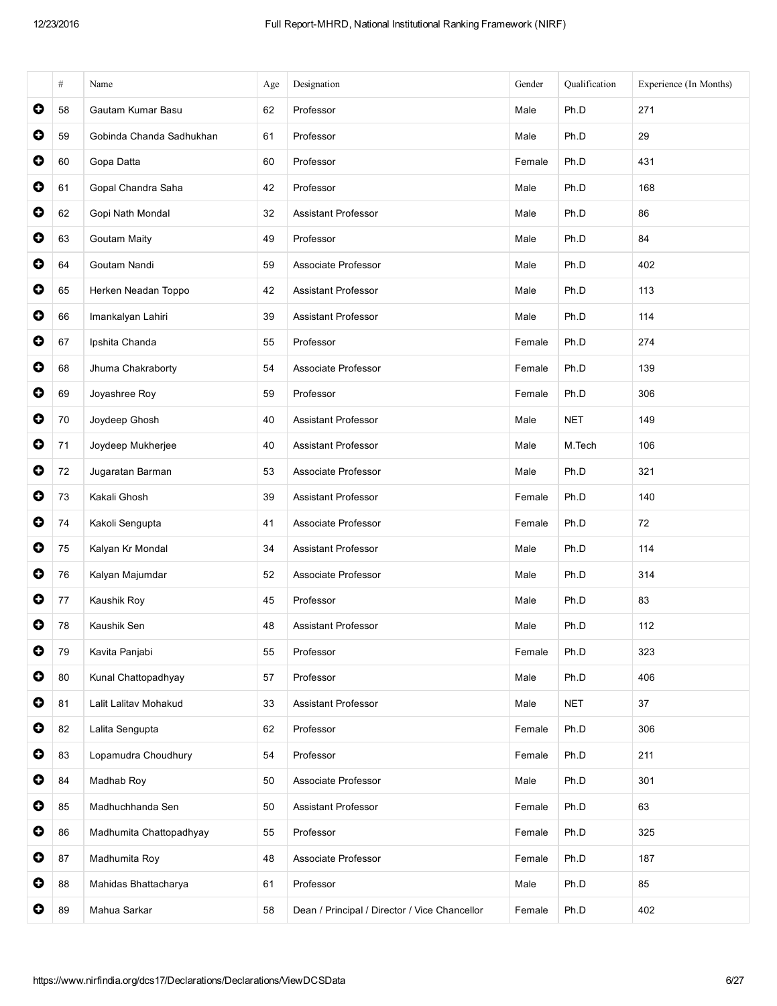|           | #  | Name                     | Age | Designation                                   | Gender | Qualification | Experience (In Months) |
|-----------|----|--------------------------|-----|-----------------------------------------------|--------|---------------|------------------------|
| 0         | 58 | Gautam Kumar Basu        | 62  | Professor                                     | Male   | Ph.D          | 271                    |
| $\bullet$ | 59 | Gobinda Chanda Sadhukhan | 61  | Professor                                     | Male   | Ph.D          | 29                     |
| $\bullet$ | 60 | Gopa Datta               | 60  | Professor                                     | Female | Ph.D          | 431                    |
| 0         | 61 | Gopal Chandra Saha       | 42  | Professor                                     | Male   | Ph.D          | 168                    |
| 0         | 62 | Gopi Nath Mondal         | 32  | <b>Assistant Professor</b>                    | Male   | Ph.D          | 86                     |
| $\bullet$ | 63 | <b>Goutam Maity</b>      | 49  | Professor                                     | Male   | Ph.D          | 84                     |
| $\bullet$ | 64 | Goutam Nandi             | 59  | Associate Professor                           | Male   | Ph.D          | 402                    |
| $\bullet$ | 65 | Herken Neadan Toppo      | 42  | <b>Assistant Professor</b>                    | Male   | Ph.D          | 113                    |
| 0         | 66 | Imankalyan Lahiri        | 39  | Assistant Professor                           | Male   | Ph.D          | 114                    |
| $\bullet$ | 67 | Ipshita Chanda           | 55  | Professor                                     | Female | Ph.D          | 274                    |
| $\bullet$ | 68 | Jhuma Chakraborty        | 54  | Associate Professor                           | Female | Ph.D          | 139                    |
| $\bullet$ | 69 | Joyashree Roy            | 59  | Professor                                     | Female | Ph.D          | 306                    |
| $\bullet$ | 70 | Joydeep Ghosh            | 40  | <b>Assistant Professor</b>                    | Male   | <b>NET</b>    | 149                    |
| 0         | 71 | Joydeep Mukherjee        | 40  | <b>Assistant Professor</b>                    | Male   | M.Tech        | 106                    |
| $\bullet$ | 72 | Jugaratan Barman         | 53  | Associate Professor                           | Male   | Ph.D          | 321                    |
| $\bullet$ | 73 | Kakali Ghosh             | 39  | Assistant Professor                           | Female | Ph.D          | 140                    |
| 0         | 74 | Kakoli Sengupta          | 41  | Associate Professor                           | Female | Ph.D          | 72                     |
| 0         | 75 | Kalyan Kr Mondal         | 34  | <b>Assistant Professor</b>                    | Male   | Ph.D          | 114                    |
| $\bullet$ | 76 | Kalyan Majumdar          | 52  | Associate Professor                           | Male   | Ph.D          | 314                    |
| 0         | 77 | Kaushik Roy              | 45  | Professor                                     | Male   | Ph.D          | 83                     |
| O         | 78 | Kaushik Sen              | 48  | <b>Assistant Professor</b>                    | Male   | Ph.D          | 112                    |
| 0         | 79 | Kavita Panjabi           | 55  | Professor                                     | Female | Ph.D          | 323                    |
| $\bullet$ | 80 | Kunal Chattopadhyay      | 57  | Professor                                     | Male   | Ph.D          | 406                    |
| $\bullet$ | 81 | Lalit Lalitav Mohakud    | 33  | Assistant Professor                           | Male   | <b>NET</b>    | 37                     |
| $\bullet$ | 82 | Lalita Sengupta          | 62  | Professor                                     | Female | Ph.D          | 306                    |
| 0         | 83 | Lopamudra Choudhury      | 54  | Professor                                     | Female | Ph.D          | 211                    |
| $\bullet$ | 84 | Madhab Roy               | 50  | Associate Professor                           | Male   | Ph.D          | 301                    |
| $\bullet$ | 85 | Madhuchhanda Sen         | 50  | Assistant Professor                           | Female | Ph.D          | 63                     |
| $\bullet$ | 86 | Madhumita Chattopadhyay  | 55  | Professor                                     | Female | Ph.D          | 325                    |
| 0         | 87 | Madhumita Roy            | 48  | Associate Professor                           | Female | Ph.D          | 187                    |
| $\bullet$ | 88 | Mahidas Bhattacharya     | 61  | Professor                                     | Male   | Ph.D          | 85                     |
| $\bullet$ | 89 | Mahua Sarkar             | 58  | Dean / Principal / Director / Vice Chancellor | Female | Ph.D          | 402                    |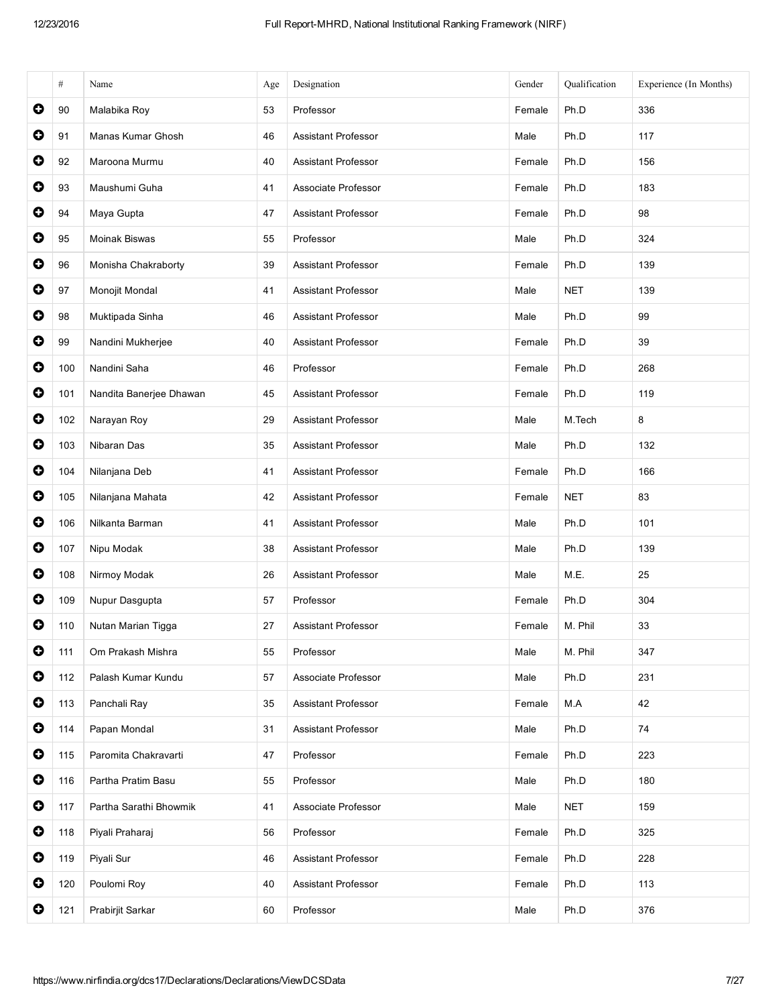|           | $\#$ | Name                    | Age | Designation                | Gender | Qualification | Experience (In Months) |
|-----------|------|-------------------------|-----|----------------------------|--------|---------------|------------------------|
| $\bullet$ | 90   | Malabika Roy            | 53  | Professor                  | Female | Ph.D          | 336                    |
| $\bullet$ | 91   | Manas Kumar Ghosh       | 46  | <b>Assistant Professor</b> | Male   | Ph.D          | 117                    |
| 0         | 92   | Maroona Murmu           | 40  | Assistant Professor        | Female | Ph.D          | 156                    |
| $\bullet$ | 93   | Maushumi Guha           | 41  | Associate Professor        | Female | Ph.D          | 183                    |
| $\bullet$ | 94   | Maya Gupta              | 47  | <b>Assistant Professor</b> | Female | Ph.D          | 98                     |
| $\bullet$ | 95   | <b>Moinak Biswas</b>    | 55  | Professor                  | Male   | Ph.D          | 324                    |
| $\bullet$ | 96   | Monisha Chakraborty     | 39  | <b>Assistant Professor</b> | Female | Ph.D          | 139                    |
| $\bullet$ | 97   | Monojit Mondal          | 41  | <b>Assistant Professor</b> | Male   | <b>NET</b>    | 139                    |
| $\bullet$ | 98   | Muktipada Sinha         | 46  | <b>Assistant Professor</b> | Male   | Ph.D          | 99                     |
| $\bullet$ | 99   | Nandini Mukherjee       | 40  | <b>Assistant Professor</b> | Female | Ph.D          | 39                     |
| $\bullet$ | 100  | Nandini Saha            | 46  | Professor                  | Female | Ph.D          | 268                    |
| $\bullet$ | 101  | Nandita Banerjee Dhawan | 45  | <b>Assistant Professor</b> | Female | Ph.D          | 119                    |
| $\bullet$ | 102  | Narayan Roy             | 29  | <b>Assistant Professor</b> | Male   | M.Tech        | 8                      |
| $\bullet$ | 103  | Nibaran Das             | 35  | Assistant Professor        | Male   | Ph.D          | 132                    |
| $\bullet$ | 104  | Nilanjana Deb           | 41  | <b>Assistant Professor</b> | Female | Ph.D          | 166                    |
| $\bullet$ | 105  | Nilanjana Mahata        | 42  | Assistant Professor        | Female | <b>NET</b>    | 83                     |
| $\bullet$ | 106  | Nilkanta Barman         | 41  | <b>Assistant Professor</b> | Male   | Ph.D          | 101                    |
| $\bullet$ | 107  | Nipu Modak              | 38  | <b>Assistant Professor</b> | Male   | Ph.D          | 139                    |
| $\bullet$ | 108  | Nirmoy Modak            | 26  | <b>Assistant Professor</b> | Male   | M.E.          | 25                     |
| $\bullet$ | 109  | Nupur Dasgupta          | 57  | Professor                  | Female | Ph.D          | 304                    |
| $\bullet$ | 110  | Nutan Marian Tigga      | 27  | <b>Assistant Professor</b> | Female | M. Phil       | 33                     |
| $\bullet$ | 111  | Om Prakash Mishra       | 55  | Professor                  | Male   | M. Phil       | 347                    |
| $\bullet$ | 112  | Palash Kumar Kundu      | 57  | Associate Professor        | Male   | Ph.D          | 231                    |
| $\bullet$ | 113  | Panchali Ray            | 35  | Assistant Professor        | Female | M.A           | 42                     |
| $\bullet$ | 114  | Papan Mondal            | 31  | Assistant Professor        | Male   | Ph.D          | 74                     |
| $\bullet$ | 115  | Paromita Chakravarti    | 47  | Professor                  | Female | Ph.D          | 223                    |
| $\bullet$ | 116  | Partha Pratim Basu      | 55  | Professor                  | Male   | Ph.D          | 180                    |
| $\bullet$ | 117  | Partha Sarathi Bhowmik  | 41  | Associate Professor        | Male   | <b>NET</b>    | 159                    |
| $\bullet$ | 118  | Piyali Praharaj         | 56  | Professor                  | Female | Ph.D          | 325                    |
| $\bullet$ | 119  | Piyali Sur              | 46  | Assistant Professor        | Female | Ph.D          | 228                    |
| $\bullet$ | 120  | Poulomi Roy             | 40  | Assistant Professor        | Female | Ph.D          | 113                    |
| $\bullet$ | 121  | Prabirjit Sarkar        | 60  | Professor                  | Male   | Ph.D          | 376                    |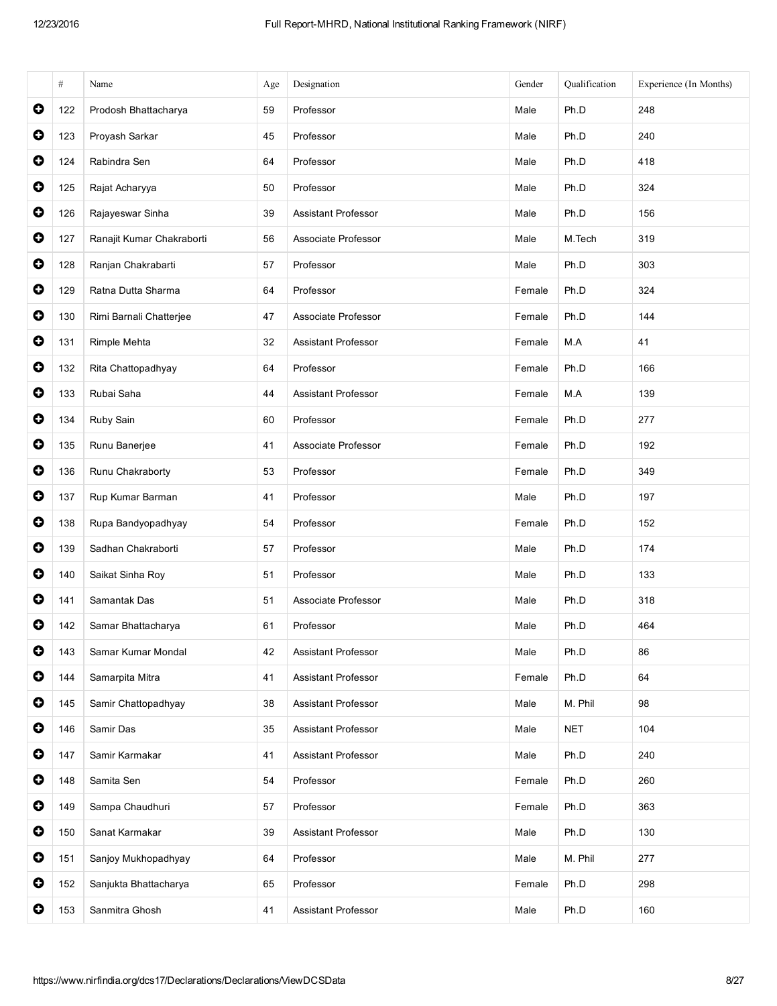|           | $\#$ | Name                      | Age | Designation                | Gender | Qualification | Experience (In Months) |
|-----------|------|---------------------------|-----|----------------------------|--------|---------------|------------------------|
| $\bullet$ | 122  | Prodosh Bhattacharya      | 59  | Professor                  | Male   | Ph.D          | 248                    |
| $\bullet$ | 123  | Proyash Sarkar            | 45  | Professor                  | Male   | Ph.D          | 240                    |
| 0         | 124  | Rabindra Sen              | 64  | Professor                  | Male   | Ph.D          | 418                    |
| $\bullet$ | 125  | Rajat Acharyya            | 50  | Professor                  | Male   | Ph.D          | 324                    |
| $\bullet$ | 126  | Rajayeswar Sinha          | 39  | <b>Assistant Professor</b> | Male   | Ph.D          | 156                    |
| $\bullet$ | 127  | Ranajit Kumar Chakraborti | 56  | Associate Professor        | Male   | M.Tech        | 319                    |
| $\bullet$ | 128  | Ranjan Chakrabarti        | 57  | Professor                  | Male   | Ph.D          | 303                    |
| $\bullet$ | 129  | Ratna Dutta Sharma        | 64  | Professor                  | Female | Ph.D          | 324                    |
| $\bullet$ | 130  | Rimi Barnali Chatterjee   | 47  | Associate Professor        | Female | Ph.D          | 144                    |
| $\bullet$ | 131  | Rimple Mehta              | 32  | <b>Assistant Professor</b> | Female | M.A           | 41                     |
| $\bullet$ | 132  | Rita Chattopadhyay        | 64  | Professor                  | Female | Ph.D          | 166                    |
| $\bullet$ | 133  | Rubai Saha                | 44  | <b>Assistant Professor</b> | Female | M.A           | 139                    |
| $\bullet$ | 134  | Ruby Sain                 | 60  | Professor                  | Female | Ph.D          | 277                    |
| $\bullet$ | 135  | Runu Banerjee             | 41  | Associate Professor        | Female | Ph.D          | 192                    |
| $\bullet$ | 136  | Runu Chakraborty          | 53  | Professor                  | Female | Ph.D          | 349                    |
| $\bullet$ | 137  | Rup Kumar Barman          | 41  | Professor                  | Male   | Ph.D          | 197                    |
| $\bullet$ | 138  | Rupa Bandyopadhyay        | 54  | Professor                  | Female | Ph.D          | 152                    |
| $\bullet$ | 139  | Sadhan Chakraborti        | 57  | Professor                  | Male   | Ph.D          | 174                    |
| $\bullet$ | 140  | Saikat Sinha Roy          | 51  | Professor                  | Male   | Ph.D          | 133                    |
| $\bullet$ | 141  | Samantak Das              | 51  | Associate Professor        | Male   | Ph.D          | 318                    |
| $\bullet$ | 142  | Samar Bhattacharya        | 61  | Professor                  | Male   | Ph.D          | 464                    |
| $\bullet$ | 143  | Samar Kumar Mondal        | 42  | <b>Assistant Professor</b> | Male   | Ph.D          | 86                     |
| $\bullet$ | 144  | Samarpita Mitra           | 41  | Assistant Professor        | Female | Ph.D          | 64                     |
| $\bullet$ | 145  | Samir Chattopadhyay       | 38  | Assistant Professor        | Male   | M. Phil       | 98                     |
| $\bullet$ | 146  | Samir Das                 | 35  | Assistant Professor        | Male   | <b>NET</b>    | 104                    |
| $\bullet$ | 147  | Samir Karmakar            | 41  | <b>Assistant Professor</b> | Male   | Ph.D          | 240                    |
| $\bullet$ | 148  | Samita Sen                | 54  | Professor                  | Female | Ph.D          | 260                    |
| $\bullet$ | 149  | Sampa Chaudhuri           | 57  | Professor                  | Female | Ph.D          | 363                    |
| $\bullet$ | 150  | Sanat Karmakar            | 39  | Assistant Professor        | Male   | Ph.D          | 130                    |
| $\bullet$ | 151  | Sanjoy Mukhopadhyay       | 64  | Professor                  | Male   | M. Phil       | 277                    |
| $\bullet$ | 152  | Sanjukta Bhattacharya     | 65  | Professor                  | Female | Ph.D          | 298                    |
| $\bullet$ | 153  | Sanmitra Ghosh            | 41  | <b>Assistant Professor</b> | Male   | Ph.D          | 160                    |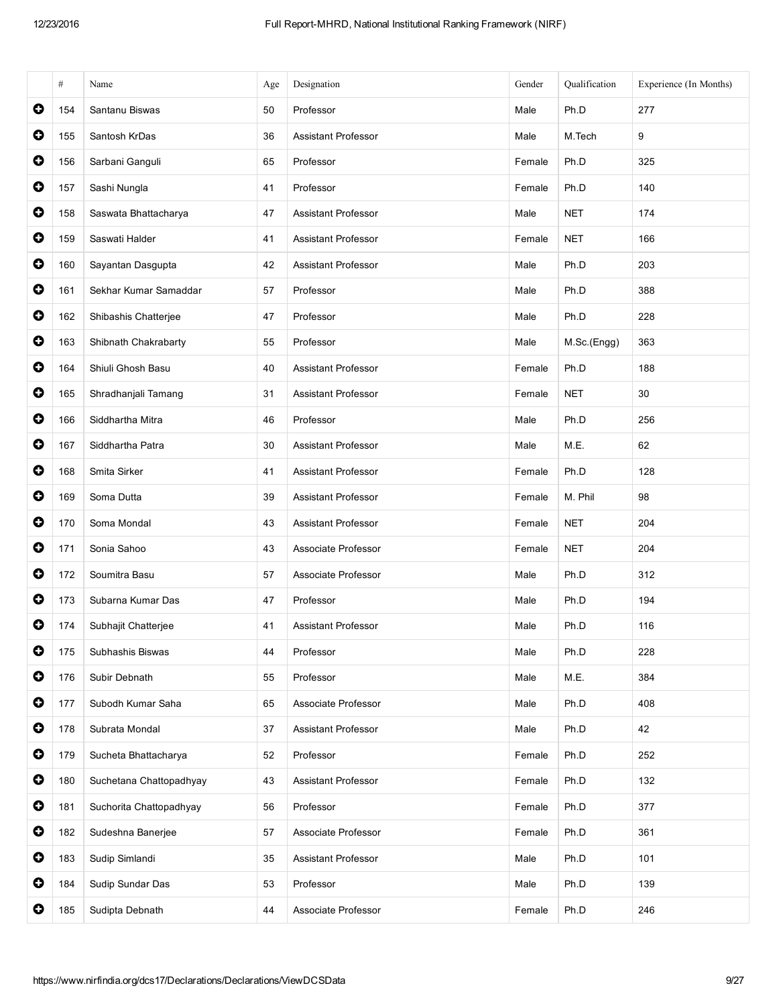|           | $\#$ | Name                    | Age | Designation                | Gender | Qualification | Experience (In Months) |
|-----------|------|-------------------------|-----|----------------------------|--------|---------------|------------------------|
| $\bullet$ | 154  | Santanu Biswas          | 50  | Professor                  | Male   | Ph.D          | 277                    |
| $\bullet$ | 155  | Santosh KrDas           | 36  | <b>Assistant Professor</b> | Male   | M.Tech        | 9                      |
| $\bullet$ | 156  | Sarbani Ganguli         | 65  | Professor                  | Female | Ph.D          | 325                    |
| $\bullet$ | 157  | Sashi Nungla            | 41  | Professor                  | Female | Ph.D          | 140                    |
| $\bullet$ | 158  | Saswata Bhattacharya    | 47  | <b>Assistant Professor</b> | Male   | <b>NET</b>    | 174                    |
| $\bullet$ | 159  | Saswati Halder          | 41  | <b>Assistant Professor</b> | Female | <b>NET</b>    | 166                    |
| $\bullet$ | 160  | Sayantan Dasgupta       | 42  | <b>Assistant Professor</b> | Male   | Ph.D          | 203                    |
| $\bullet$ | 161  | Sekhar Kumar Samaddar   | 57  | Professor                  | Male   | Ph.D          | 388                    |
| $\bullet$ | 162  | Shibashis Chatterjee    | 47  | Professor                  | Male   | Ph.D          | 228                    |
| $\bullet$ | 163  | Shibnath Chakrabarty    | 55  | Professor                  | Male   | M.Sc.(Engg)   | 363                    |
| $\bullet$ | 164  | Shiuli Ghosh Basu       | 40  | <b>Assistant Professor</b> | Female | Ph.D          | 188                    |
| $\bullet$ | 165  | Shradhanjali Tamang     | 31  | <b>Assistant Professor</b> | Female | <b>NET</b>    | 30                     |
| $\bullet$ | 166  | Siddhartha Mitra        | 46  | Professor                  | Male   | Ph.D          | 256                    |
| $\bullet$ | 167  | Siddhartha Patra        | 30  | <b>Assistant Professor</b> | Male   | M.E.          | 62                     |
| $\bullet$ | 168  | Smita Sirker            | 41  | Assistant Professor        | Female | Ph.D          | 128                    |
| $\bullet$ | 169  | Soma Dutta              | 39  | <b>Assistant Professor</b> | Female | M. Phil       | 98                     |
| $\bullet$ | 170  | Soma Mondal             | 43  | <b>Assistant Professor</b> | Female | <b>NET</b>    | 204                    |
| $\bullet$ | 171  | Sonia Sahoo             | 43  | Associate Professor        | Female | <b>NET</b>    | 204                    |
| $\bullet$ | 172  | Soumitra Basu           | 57  | Associate Professor        | Male   | Ph.D          | 312                    |
| $\bullet$ | 173  | Subarna Kumar Das       | 47  | Professor                  | Male   | Ph.D          | 194                    |
| $\bullet$ | 174  | Subhajit Chatterjee     | 41  | <b>Assistant Professor</b> | Male   | Ph.D          | 116                    |
| $\bullet$ | 175  | Subhashis Biswas        | 44  | Professor                  | Male   | Ph.D          | 228                    |
| $\bullet$ | 176  | Subir Debnath           | 55  | Professor                  | Male   | M.E.          | 384                    |
| $\bullet$ | 177  | Subodh Kumar Saha       | 65  | Associate Professor        | Male   | Ph.D          | 408                    |
| $\bullet$ | 178  | Subrata Mondal          | 37  | Assistant Professor        | Male   | Ph.D          | 42                     |
| $\bullet$ | 179  | Sucheta Bhattacharya    | 52  | Professor                  | Female | Ph.D          | 252                    |
| $\bullet$ | 180  | Suchetana Chattopadhyay | 43  | Assistant Professor        | Female | Ph.D          | 132                    |
| $\bullet$ | 181  | Suchorita Chattopadhyay | 56  | Professor                  | Female | Ph.D          | 377                    |
| $\bullet$ | 182  | Sudeshna Banerjee       | 57  | Associate Professor        | Female | Ph.D          | 361                    |
| $\bullet$ | 183  | Sudip Simlandi          | 35  | Assistant Professor        | Male   | Ph.D          | 101                    |
| $\bullet$ | 184  | Sudip Sundar Das        | 53  | Professor                  | Male   | Ph.D          | 139                    |
| 0         | 185  | Sudipta Debnath         | 44  | Associate Professor        | Female | Ph.D          | 246                    |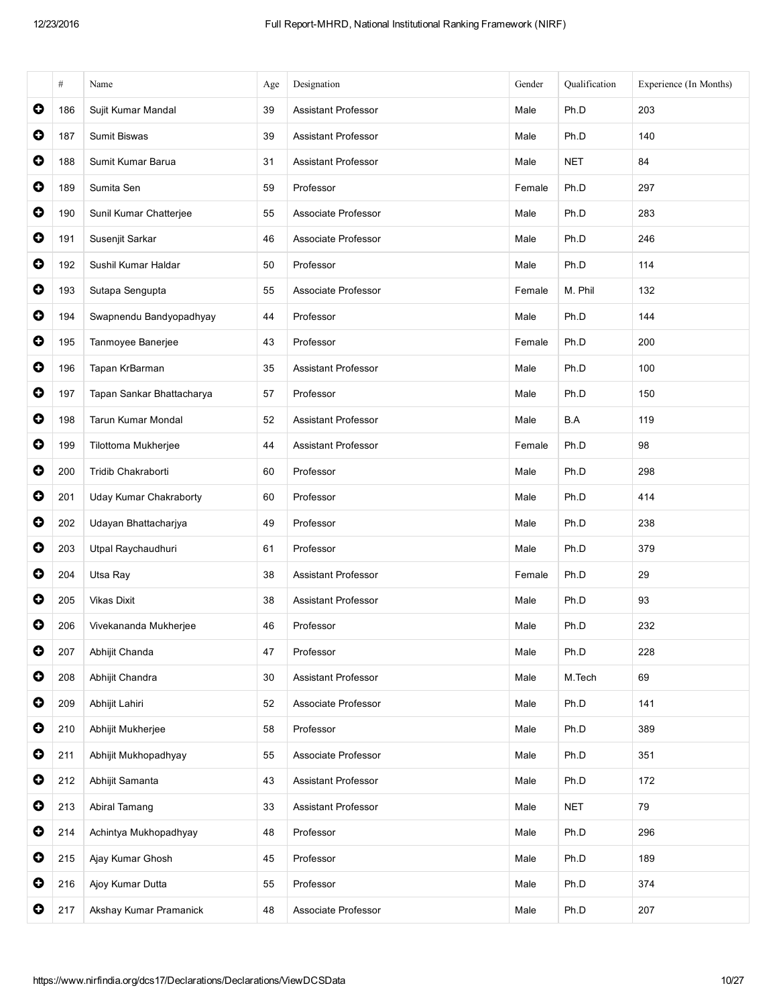|           | $\#$ | Name                          | Age | Designation                | Gender | Qualification | Experience (In Months) |
|-----------|------|-------------------------------|-----|----------------------------|--------|---------------|------------------------|
| $\bullet$ | 186  | Sujit Kumar Mandal            | 39  | <b>Assistant Professor</b> | Male   | Ph.D          | 203                    |
| $\bullet$ | 187  | Sumit Biswas                  | 39  | <b>Assistant Professor</b> | Male   | Ph.D          | 140                    |
| 0         | 188  | Sumit Kumar Barua             | 31  | <b>Assistant Professor</b> | Male   | <b>NET</b>    | 84                     |
| $\bullet$ | 189  | Sumita Sen                    | 59  | Professor                  | Female | Ph.D          | 297                    |
| $\bullet$ | 190  | Sunil Kumar Chatterjee        | 55  | Associate Professor        | Male   | Ph.D          | 283                    |
| $\bullet$ | 191  | Susenjit Sarkar               | 46  | Associate Professor        | Male   | Ph.D          | 246                    |
| $\bullet$ | 192  | Sushil Kumar Haldar           | 50  | Professor                  | Male   | Ph.D          | 114                    |
| $\bullet$ | 193  | Sutapa Sengupta               | 55  | Associate Professor        | Female | M. Phil       | 132                    |
| $\bullet$ | 194  | Swapnendu Bandyopadhyay       | 44  | Professor                  | Male   | Ph.D          | 144                    |
| $\bullet$ | 195  | Tanmoyee Banerjee             | 43  | Professor                  | Female | Ph.D          | 200                    |
| $\bullet$ | 196  | Tapan KrBarman                | 35  | <b>Assistant Professor</b> | Male   | Ph.D          | 100                    |
| $\bullet$ | 197  | Tapan Sankar Bhattacharya     | 57  | Professor                  | Male   | Ph.D          | 150                    |
| $\bullet$ | 198  | Tarun Kumar Mondal            | 52  | <b>Assistant Professor</b> | Male   | B.A           | 119                    |
| $\bullet$ | 199  | Tilottoma Mukherjee           | 44  | Assistant Professor        | Female | Ph.D          | 98                     |
| $\bullet$ | 200  | Tridib Chakraborti            | 60  | Professor                  | Male   | Ph.D          | 298                    |
| $\bullet$ | 201  | <b>Uday Kumar Chakraborty</b> | 60  | Professor                  | Male   | Ph.D          | 414                    |
| $\bullet$ | 202  | Udayan Bhattacharjya          | 49  | Professor                  | Male   | Ph.D          | 238                    |
| $\bullet$ | 203  | Utpal Raychaudhuri            | 61  | Professor                  | Male   | Ph.D          | 379                    |
| $\bullet$ | 204  | Utsa Ray                      | 38  | <b>Assistant Professor</b> | Female | Ph.D          | 29                     |
| $\bullet$ | 205  | <b>Vikas Dixit</b>            | 38  | <b>Assistant Professor</b> | Male   | Ph.D          | 93                     |
| $\bullet$ | 206  | Vivekananda Mukherjee         | 46  | Professor                  | Male   | Ph.D          | 232                    |
| $\bullet$ | 207  | Abhijit Chanda                | 47  | Professor                  | Male   | Ph.D          | 228                    |
| $\bullet$ | 208  | Abhijit Chandra               | 30  | Assistant Professor        | Male   | M.Tech        | 69                     |
| $\bullet$ | 209  | Abhijit Lahiri                | 52  | Associate Professor        | Male   | Ph.D          | 141                    |
| $\bullet$ | 210  | Abhijit Mukherjee             | 58  | Professor                  | Male   | Ph.D          | 389                    |
| $\bullet$ | 211  | Abhijit Mukhopadhyay          | 55  | Associate Professor        | Male   | Ph.D          | 351                    |
| $\bullet$ | 212  | Abhijit Samanta               | 43  | Assistant Professor        | Male   | Ph.D          | 172                    |
| $\bullet$ | 213  | Abiral Tamang                 | 33  | Assistant Professor        | Male   | <b>NET</b>    | 79                     |
| $\bullet$ | 214  | Achintya Mukhopadhyay         | 48  | Professor                  | Male   | Ph.D          | 296                    |
| $\bullet$ | 215  | Ajay Kumar Ghosh              | 45  | Professor                  | Male   | Ph.D          | 189                    |
| $\bullet$ | 216  | Ajoy Kumar Dutta              | 55  | Professor                  | Male   | Ph.D          | 374                    |
| 0         | 217  | Akshay Kumar Pramanick        | 48  | Associate Professor        | Male   | Ph.D          | 207                    |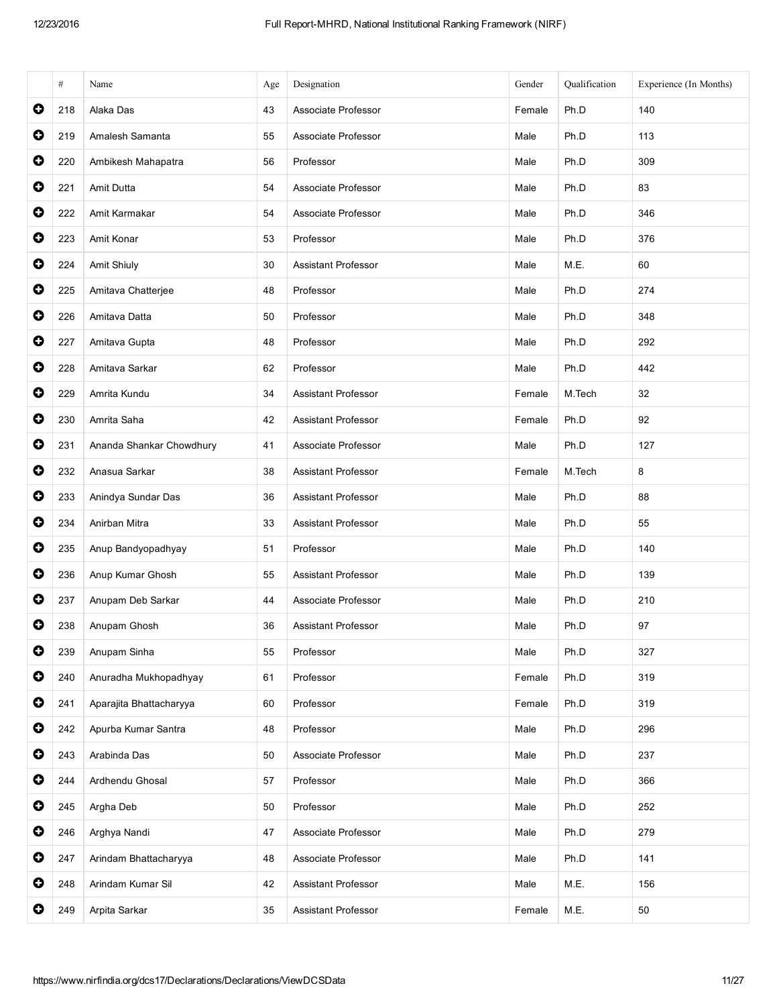|           | #   | Name                     | Age | Designation                | Gender | Qualification | Experience (In Months) |
|-----------|-----|--------------------------|-----|----------------------------|--------|---------------|------------------------|
| $\bullet$ | 218 | Alaka Das                | 43  | Associate Professor        | Female | Ph.D          | 140                    |
| 0         | 219 | Amalesh Samanta          | 55  | Associate Professor        | Male   | Ph.D          | 113                    |
| 0         | 220 | Ambikesh Mahapatra       | 56  | Professor                  | Male   | Ph.D          | 309                    |
| 0         | 221 | Amit Dutta               | 54  | Associate Professor        | Male   | Ph.D          | 83                     |
| $\bullet$ | 222 | Amit Karmakar            | 54  | Associate Professor        | Male   | Ph.D          | 346                    |
| $\bullet$ | 223 | Amit Konar               | 53  | Professor                  | Male   | Ph.D          | 376                    |
| 0         | 224 | Amit Shiuly              | 30  | <b>Assistant Professor</b> | Male   | M.E.          | 60                     |
| O         | 225 | Amitava Chatterjee       | 48  | Professor                  | Male   | Ph.D          | 274                    |
| $\bullet$ | 226 | Amitava Datta            | 50  | Professor                  | Male   | Ph.D          | 348                    |
| 0         | 227 | Amitava Gupta            | 48  | Professor                  | Male   | Ph.D          | 292                    |
| 0         | 228 | Amitava Sarkar           | 62  | Professor                  | Male   | Ph.D          | 442                    |
| 0         | 229 | Amrita Kundu             | 34  | <b>Assistant Professor</b> | Female | M.Tech        | 32                     |
| $\bullet$ | 230 | Amrita Saha              | 42  | <b>Assistant Professor</b> | Female | Ph.D          | 92                     |
| $\bullet$ | 231 | Ananda Shankar Chowdhury | 41  | Associate Professor        | Male   | Ph.D          | 127                    |
| $\bullet$ | 232 | Anasua Sarkar            | 38  | <b>Assistant Professor</b> | Female | M.Tech        | 8                      |
| 0         | 233 | Anindya Sundar Das       | 36  | <b>Assistant Professor</b> | Male   | Ph.D          | 88                     |
| $\bullet$ | 234 | Anirban Mitra            | 33  | <b>Assistant Professor</b> | Male   | Ph.D          | 55                     |
| $\bullet$ | 235 | Anup Bandyopadhyay       | 51  | Professor                  | Male   | Ph.D          | 140                    |
| 0         | 236 | Anup Kumar Ghosh         | 55  | <b>Assistant Professor</b> | Male   | Ph.D          | 139                    |
| 0         | 237 | Anupam Deb Sarkar        | 44  | Associate Professor        | Male   | Ph.D          | 210                    |
| O         | 238 | Anupam Ghosh             | 36  | <b>Assistant Professor</b> | Male   | Ph.D          | 97                     |
| 0         | 239 | Anupam Sinha             | 55  | Professor                  | Male   | Ph.D          | 327                    |
| 0         | 240 | Anuradha Mukhopadhyay    | 61  | Professor                  | Female | Ph.D          | 319                    |
| 0         | 241 | Aparajita Bhattacharyya  | 60  | Professor                  | Female | Ph.D          | 319                    |
| 0         | 242 | Apurba Kumar Santra      | 48  | Professor                  | Male   | Ph.D          | 296                    |
| $\bullet$ | 243 | Arabinda Das             | 50  | Associate Professor        | Male   | Ph.D          | 237                    |
| $\bullet$ | 244 | Ardhendu Ghosal          | 57  | Professor                  | Male   | Ph.D          | 366                    |
| $\bullet$ | 245 | Argha Deb                | 50  | Professor                  | Male   | Ph.D          | 252                    |
| 0         | 246 | Arghya Nandi             | 47  | Associate Professor        | Male   | Ph.D          | 279                    |
| $\bullet$ | 247 | Arindam Bhattacharyya    | 48  | Associate Professor        | Male   | Ph.D          | 141                    |
| $\bullet$ | 248 | Arindam Kumar Sil        | 42  | <b>Assistant Professor</b> | Male   | M.E.          | 156                    |
| 0         | 249 | Arpita Sarkar            | 35  | Assistant Professor        | Female | M.E.          | 50                     |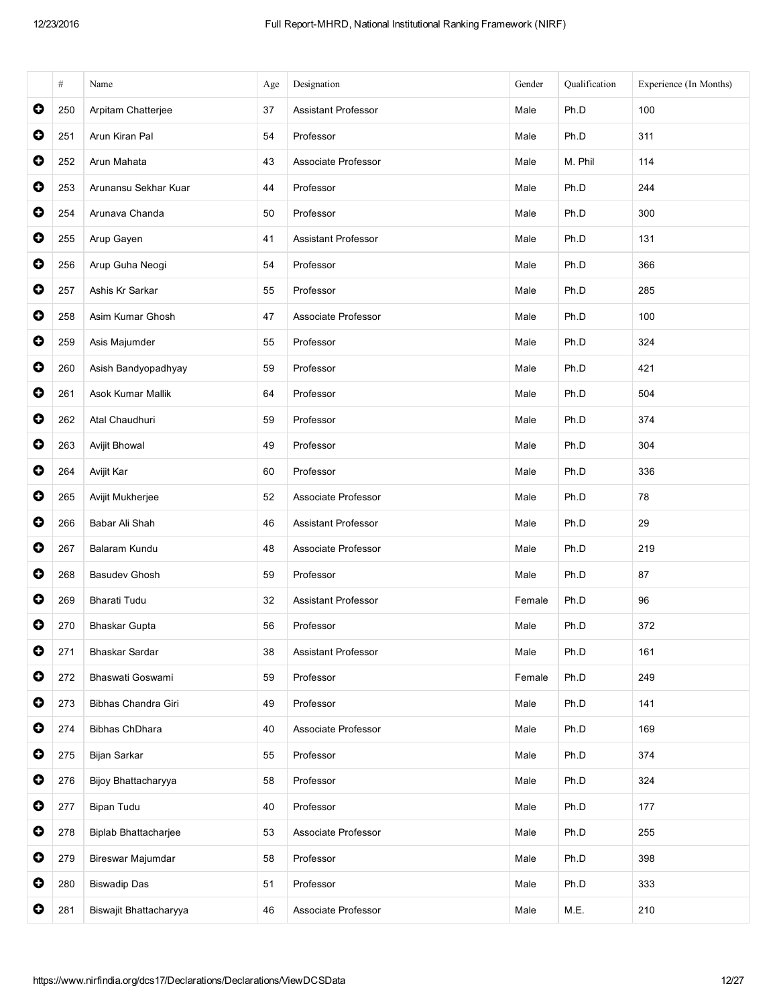|           | #   | Name                        | Age | Designation                | Gender | Qualification | Experience (In Months) |
|-----------|-----|-----------------------------|-----|----------------------------|--------|---------------|------------------------|
| $\bullet$ | 250 | Arpitam Chatterjee          | 37  | <b>Assistant Professor</b> | Male   | Ph.D          | 100                    |
| $\bullet$ | 251 | Arun Kiran Pal              | 54  | Professor                  | Male   | Ph.D          | 311                    |
| 0         | 252 | Arun Mahata                 | 43  | Associate Professor        | Male   | M. Phil       | 114                    |
| $\bullet$ | 253 | Arunansu Sekhar Kuar        | 44  | Professor                  | Male   | Ph.D          | 244                    |
| $\bullet$ | 254 | Arunava Chanda              | 50  | Professor                  | Male   | Ph.D          | 300                    |
| $\bullet$ | 255 | Arup Gayen                  | 41  | <b>Assistant Professor</b> | Male   | Ph.D          | 131                    |
| 0         | 256 | Arup Guha Neogi             | 54  | Professor                  | Male   | Ph.D          | 366                    |
| O         | 257 | Ashis Kr Sarkar             | 55  | Professor                  | Male   | Ph.D          | 285                    |
| $\bullet$ | 258 | Asim Kumar Ghosh            | 47  | Associate Professor        | Male   | Ph.D          | 100                    |
| $\bullet$ | 259 | Asis Majumder               | 55  | Professor                  | Male   | Ph.D          | 324                    |
| 0         | 260 | Asish Bandyopadhyay         | 59  | Professor                  | Male   | Ph.D          | 421                    |
| 0         | 261 | Asok Kumar Mallik           | 64  | Professor                  | Male   | Ph.D          | 504                    |
| $\bullet$ | 262 | Atal Chaudhuri              | 59  | Professor                  | Male   | Ph.D          | 374                    |
| $\bullet$ | 263 | Avijit Bhowal               | 49  | Professor                  | Male   | Ph.D          | 304                    |
| $\bullet$ | 264 | Avijit Kar                  | 60  | Professor                  | Male   | Ph.D          | 336                    |
| 0         | 265 | Avijit Mukherjee            | 52  | Associate Professor        | Male   | Ph.D          | 78                     |
| $\bullet$ | 266 | Babar Ali Shah              | 46  | <b>Assistant Professor</b> | Male   | Ph.D          | 29                     |
| $\bullet$ | 267 | Balaram Kundu               | 48  | Associate Professor        | Male   | Ph.D          | 219                    |
| $\bullet$ | 268 | <b>Basudev Ghosh</b>        | 59  | Professor                  | Male   | Ph.D          | 87                     |
| 0         | 269 | Bharati Tudu                | 32  | <b>Assistant Professor</b> | Female | Ph.D          | 96                     |
| O         | 270 | <b>Bhaskar Gupta</b>        | 56  | Professor                  | Male   | Ph.D          | 372                    |
| 0         | 271 | Bhaskar Sardar              | 38  | <b>Assistant Professor</b> | Male   | Ph.D          | 161                    |
| 0         | 272 | Bhaswati Goswami            | 59  | Professor                  | Female | Ph.D          | 249                    |
| 0         | 273 | Bibhas Chandra Giri         | 49  | Professor                  | Male   | Ph.D          | 141                    |
| 0         | 274 | Bibhas ChDhara              | 40  | Associate Professor        | Male   | Ph.D          | 169                    |
| $\bullet$ | 275 | Bijan Sarkar                | 55  | Professor                  | Male   | Ph.D          | 374                    |
| $\bullet$ | 276 | Bijoy Bhattacharyya         | 58  | Professor                  | Male   | Ph.D          | 324                    |
| 0         | 277 | Bipan Tudu                  | 40  | Professor                  | Male   | Ph.D          | 177                    |
| 0         | 278 | <b>Biplab Bhattacharjee</b> | 53  | Associate Professor        | Male   | Ph.D          | 255                    |
| $\bullet$ | 279 | Bireswar Majumdar           | 58  | Professor                  | Male   | Ph.D          | 398                    |
| $\bullet$ | 280 | <b>Biswadip Das</b>         | 51  | Professor                  | Male   | Ph.D          | 333                    |
| 0         | 281 | Biswajit Bhattacharyya      | 46  | Associate Professor        | Male   | M.E.          | 210                    |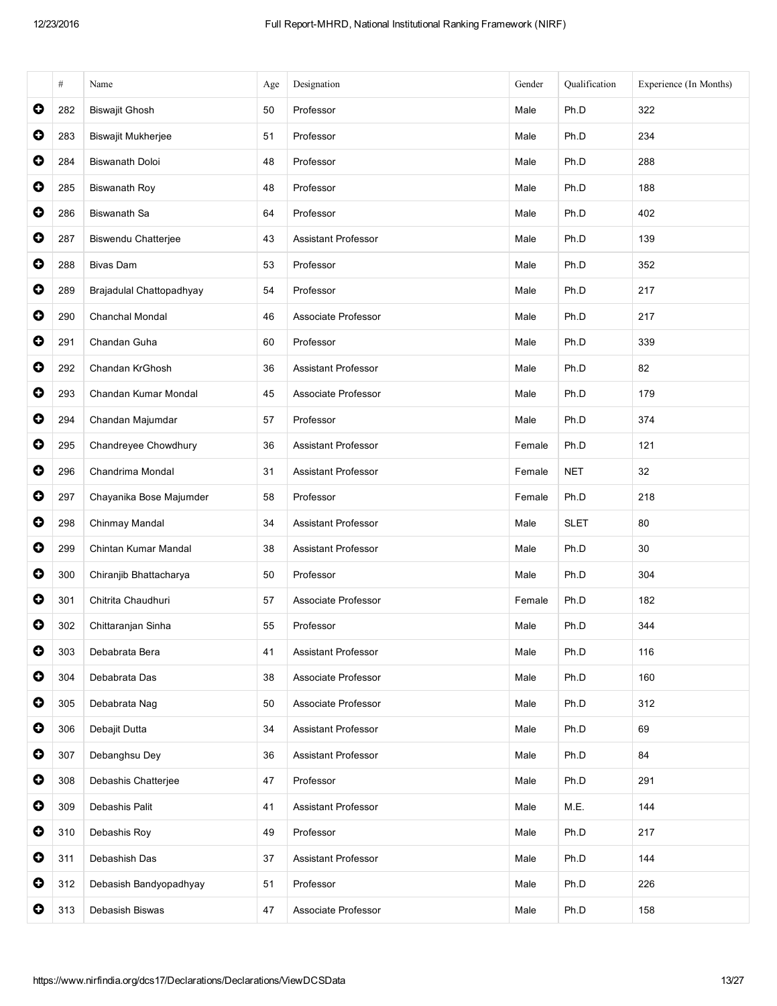|           | $\#$ | Name                      | Age | Designation                | Gender | Qualification | Experience (In Months) |
|-----------|------|---------------------------|-----|----------------------------|--------|---------------|------------------------|
| $\bullet$ | 282  | <b>Biswajit Ghosh</b>     | 50  | Professor                  | Male   | Ph.D          | 322                    |
| $\bullet$ | 283  | <b>Biswajit Mukherjee</b> | 51  | Professor                  | Male   | Ph.D          | 234                    |
| $\bullet$ | 284  | <b>Biswanath Doloi</b>    | 48  | Professor                  | Male   | Ph.D          | 288                    |
| $\bullet$ | 285  | <b>Biswanath Roy</b>      | 48  | Professor                  | Male   | Ph.D          | 188                    |
| $\bullet$ | 286  | Biswanath Sa              | 64  | Professor                  | Male   | Ph.D          | 402                    |
| $\bullet$ | 287  | Biswendu Chatterjee       | 43  | <b>Assistant Professor</b> | Male   | Ph.D          | 139                    |
| $\bullet$ | 288  | <b>Bivas Dam</b>          | 53  | Professor                  | Male   | Ph.D          | 352                    |
| $\bullet$ | 289  | Brajadulal Chattopadhyay  | 54  | Professor                  | Male   | Ph.D          | 217                    |
| $\bullet$ | 290  | Chanchal Mondal           | 46  | Associate Professor        | Male   | Ph.D          | 217                    |
| $\bullet$ | 291  | Chandan Guha              | 60  | Professor                  | Male   | Ph.D          | 339                    |
| $\bullet$ | 292  | Chandan KrGhosh           | 36  | <b>Assistant Professor</b> | Male   | Ph.D          | 82                     |
| $\bullet$ | 293  | Chandan Kumar Mondal      | 45  | Associate Professor        | Male   | Ph.D          | 179                    |
| $\bullet$ | 294  | Chandan Majumdar          | 57  | Professor                  | Male   | Ph.D          | 374                    |
| $\bullet$ | 295  | Chandreyee Chowdhury      | 36  | <b>Assistant Professor</b> | Female | Ph.D          | 121                    |
| $\bullet$ | 296  | Chandrima Mondal          | 31  | <b>Assistant Professor</b> | Female | <b>NET</b>    | 32                     |
| $\bullet$ | 297  | Chayanika Bose Majumder   | 58  | Professor                  | Female | Ph.D          | 218                    |
| $\bullet$ | 298  | Chinmay Mandal            | 34  | <b>Assistant Professor</b> | Male   | <b>SLET</b>   | 80                     |
| $\bullet$ | 299  | Chintan Kumar Mandal      | 38  | <b>Assistant Professor</b> | Male   | Ph.D          | 30                     |
| $\bullet$ | 300  | Chiranjib Bhattacharya    | 50  | Professor                  | Male   | Ph.D          | 304                    |
| $\bullet$ | 301  | Chitrita Chaudhuri        | 57  | Associate Professor        | Female | Ph.D          | 182                    |
| $\bullet$ | 302  | Chittaranjan Sinha        | 55  | Professor                  | Male   | Ph.D          | 344                    |
| $\bullet$ | 303  | Debabrata Bera            | 41  | Assistant Professor        | Male   | Ph.D          | 116                    |
| $\bullet$ | 304  | Debabrata Das             | 38  | Associate Professor        | Male   | Ph.D          | 160                    |
| $\bullet$ | 305  | Debabrata Nag             | 50  | Associate Professor        | Male   | Ph.D          | 312                    |
| $\bullet$ | 306  | Debajit Dutta             | 34  | <b>Assistant Professor</b> | Male   | Ph.D          | 69                     |
| $\bullet$ | 307  | Debanghsu Dey             | 36  | <b>Assistant Professor</b> | Male   | Ph.D          | 84                     |
| $\bullet$ | 308  | Debashis Chatterjee       | 47  | Professor                  | Male   | Ph.D          | 291                    |
| $\bullet$ | 309  | Debashis Palit            | 41  | <b>Assistant Professor</b> | Male   | M.E.          | 144                    |
| $\bullet$ | 310  | Debashis Roy              | 49  | Professor                  | Male   | Ph.D          | 217                    |
| $\bullet$ | 311  | Debashish Das             | 37  | Assistant Professor        | Male   | Ph.D          | 144                    |
| $\bullet$ | 312  | Debasish Bandyopadhyay    | 51  | Professor                  | Male   | Ph.D          | 226                    |
| $\bullet$ | 313  | Debasish Biswas           | 47  | Associate Professor        | Male   | Ph.D          | 158                    |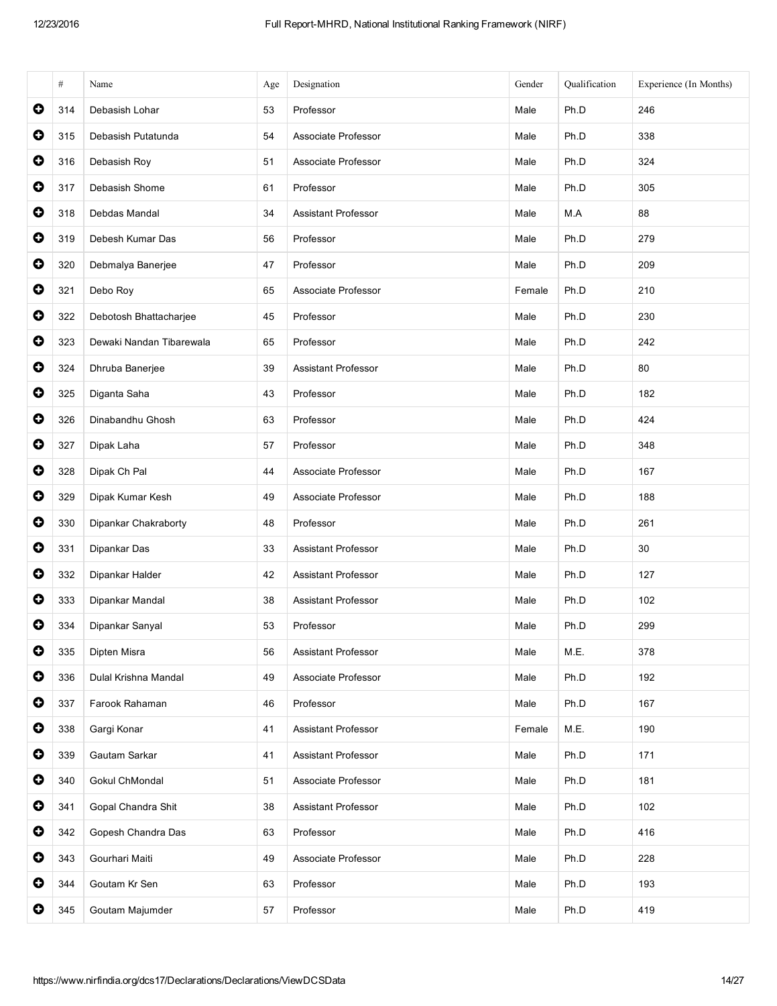|           | $\#$ | Name                     | Age | Designation                | Gender | Qualification | Experience (In Months) |
|-----------|------|--------------------------|-----|----------------------------|--------|---------------|------------------------|
| $\bullet$ | 314  | Debasish Lohar           | 53  | Professor                  | Male   | Ph.D          | 246                    |
| $\bullet$ | 315  | Debasish Putatunda       | 54  | Associate Professor        | Male   | Ph.D          | 338                    |
| $\bullet$ | 316  | Debasish Roy             | 51  | Associate Professor        | Male   | Ph.D          | 324                    |
| $\bullet$ | 317  | Debasish Shome           | 61  | Professor                  | Male   | Ph.D          | 305                    |
| $\bullet$ | 318  | Debdas Mandal            | 34  | <b>Assistant Professor</b> | Male   | M.A           | 88                     |
| $\bullet$ | 319  | Debesh Kumar Das         | 56  | Professor                  | Male   | Ph.D          | 279                    |
| $\bullet$ | 320  | Debmalya Banerjee        | 47  | Professor                  | Male   | Ph.D          | 209                    |
| $\bullet$ | 321  | Debo Roy                 | 65  | Associate Professor        | Female | Ph.D          | 210                    |
| $\bullet$ | 322  | Debotosh Bhattacharjee   | 45  | Professor                  | Male   | Ph.D          | 230                    |
| $\bullet$ | 323  | Dewaki Nandan Tibarewala | 65  | Professor                  | Male   | Ph.D          | 242                    |
| $\bullet$ | 324  | Dhruba Banerjee          | 39  | <b>Assistant Professor</b> | Male   | Ph.D          | 80                     |
| $\bullet$ | 325  | Diganta Saha             | 43  | Professor                  | Male   | Ph.D          | 182                    |
| $\bullet$ | 326  | Dinabandhu Ghosh         | 63  | Professor                  | Male   | Ph.D          | 424                    |
| $\bullet$ | 327  | Dipak Laha               | 57  | Professor                  | Male   | Ph.D          | 348                    |
| $\bullet$ | 328  | Dipak Ch Pal             | 44  | Associate Professor        | Male   | Ph.D          | 167                    |
| $\bullet$ | 329  | Dipak Kumar Kesh         | 49  | Associate Professor        | Male   | Ph.D          | 188                    |
| $\bullet$ | 330  | Dipankar Chakraborty     | 48  | Professor                  | Male   | Ph.D          | 261                    |
| $\bullet$ | 331  | Dipankar Das             | 33  | <b>Assistant Professor</b> | Male   | Ph.D          | 30                     |
| $\bullet$ | 332  | Dipankar Halder          | 42  | <b>Assistant Professor</b> | Male   | Ph.D          | 127                    |
| $\bullet$ | 333  | Dipankar Mandal          | 38  | <b>Assistant Professor</b> | Male   | Ph.D          | 102                    |
| $\bullet$ | 334  | Dipankar Sanyal          | 53  | Professor                  | Male   | Ph.D          | 299                    |
| $\bullet$ | 335  | Dipten Misra             | 56  | Assistant Professor        | Male   | M.E.          | 378                    |
| $\bullet$ | 336  | Dulal Krishna Mandal     | 49  | Associate Professor        | Male   | Ph.D          | 192                    |
| $\bullet$ | 337  | Farook Rahaman           | 46  | Professor                  | Male   | Ph.D          | 167                    |
| $\bullet$ | 338  | Gargi Konar              | 41  | Assistant Professor        | Female | M.E.          | 190                    |
| $\bullet$ | 339  | Gautam Sarkar            | 41  | <b>Assistant Professor</b> | Male   | Ph.D          | 171                    |
| $\bullet$ | 340  | Gokul ChMondal           | 51  | Associate Professor        | Male   | Ph.D          | 181                    |
| $\bullet$ | 341  | Gopal Chandra Shit       | 38  | <b>Assistant Professor</b> | Male   | Ph.D          | 102                    |
| $\bullet$ | 342  | Gopesh Chandra Das       | 63  | Professor                  | Male   | Ph.D          | 416                    |
| $\bullet$ | 343  | Gourhari Maiti           | 49  | Associate Professor        | Male   | Ph.D          | 228                    |
| $\bullet$ | 344  | Goutam Kr Sen            | 63  | Professor                  | Male   | Ph.D          | 193                    |
| $\bullet$ | 345  | Goutam Majumder          | 57  | Professor                  | Male   | Ph.D          | 419                    |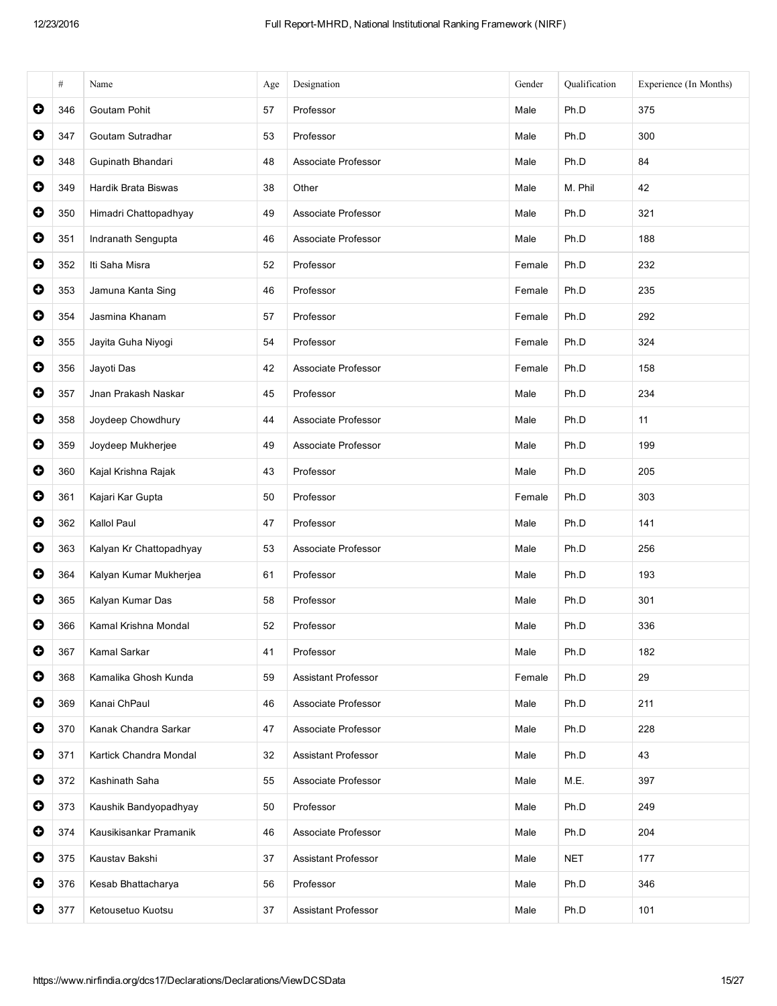|           | $\#$ | Name                    | Age | Designation                | Gender | Qualification | Experience (In Months) |
|-----------|------|-------------------------|-----|----------------------------|--------|---------------|------------------------|
| $\bullet$ | 346  | Goutam Pohit            | 57  | Professor                  | Male   | Ph.D          | 375                    |
| $\bullet$ | 347  | Goutam Sutradhar        | 53  | Professor                  | Male   | Ph.D          | 300                    |
| 0         | 348  | Gupinath Bhandari       | 48  | Associate Professor        | Male   | Ph.D          | 84                     |
| $\bullet$ | 349  | Hardik Brata Biswas     | 38  | Other                      | Male   | M. Phil       | 42                     |
| $\bullet$ | 350  | Himadri Chattopadhyay   | 49  | Associate Professor        | Male   | Ph.D          | 321                    |
| $\bullet$ | 351  | Indranath Sengupta      | 46  | Associate Professor        | Male   | Ph.D          | 188                    |
| $\bullet$ | 352  | Iti Saha Misra          | 52  | Professor                  | Female | Ph.D          | 232                    |
| $\bullet$ | 353  | Jamuna Kanta Sing       | 46  | Professor                  | Female | Ph.D          | 235                    |
| $\bullet$ | 354  | Jasmina Khanam          | 57  | Professor                  | Female | Ph.D          | 292                    |
| $\bullet$ | 355  | Jayita Guha Niyogi      | 54  | Professor                  | Female | Ph.D          | 324                    |
| $\bullet$ | 356  | Jayoti Das              | 42  | Associate Professor        | Female | Ph.D          | 158                    |
| $\bullet$ | 357  | Jnan Prakash Naskar     | 45  | Professor                  | Male   | Ph.D          | 234                    |
| $\bullet$ | 358  | Joydeep Chowdhury       | 44  | Associate Professor        | Male   | Ph.D          | 11                     |
| $\bullet$ | 359  | Joydeep Mukherjee       | 49  | Associate Professor        | Male   | Ph.D          | 199                    |
| $\bullet$ | 360  | Kajal Krishna Rajak     | 43  | Professor                  | Male   | Ph.D          | 205                    |
| $\bullet$ | 361  | Kajari Kar Gupta        | 50  | Professor                  | Female | Ph.D          | 303                    |
| $\bullet$ | 362  | Kallol Paul             | 47  | Professor                  | Male   | Ph.D          | 141                    |
| $\bullet$ | 363  | Kalyan Kr Chattopadhyay | 53  | Associate Professor        | Male   | Ph.D          | 256                    |
| $\bullet$ | 364  | Kalyan Kumar Mukherjea  | 61  | Professor                  | Male   | Ph.D          | 193                    |
| $\bullet$ | 365  | Kalyan Kumar Das        | 58  | Professor                  | Male   | Ph.D          | 301                    |
| $\bullet$ | 366  | Kamal Krishna Mondal    | 52  | Professor                  | Male   | Ph.D          | 336                    |
| $\bullet$ | 367  | Kamal Sarkar            | 41  | Professor                  | Male   | Ph.D          | 182                    |
| $\bullet$ | 368  | Kamalika Ghosh Kunda    | 59  | Assistant Professor        | Female | Ph.D          | 29                     |
| $\bullet$ | 369  | Kanai ChPaul            | 46  | Associate Professor        | Male   | Ph.D          | 211                    |
| $\bullet$ | 370  | Kanak Chandra Sarkar    | 47  | Associate Professor        | Male   | Ph.D          | 228                    |
| $\bullet$ | 371  | Kartick Chandra Mondal  | 32  | <b>Assistant Professor</b> | Male   | Ph.D          | 43                     |
| $\bullet$ | 372  | Kashinath Saha          | 55  | Associate Professor        | Male   | M.E.          | 397                    |
| $\bullet$ | 373  | Kaushik Bandyopadhyay   | 50  | Professor                  | Male   | Ph.D          | 249                    |
| $\bullet$ | 374  | Kausikisankar Pramanik  | 46  | Associate Professor        | Male   | Ph.D          | 204                    |
| $\bullet$ | 375  | Kaustav Bakshi          | 37  | Assistant Professor        | Male   | <b>NET</b>    | 177                    |
| $\bullet$ | 376  | Kesab Bhattacharya      | 56  | Professor                  | Male   | Ph.D          | 346                    |
| $\bullet$ | 377  | Ketousetuo Kuotsu       | 37  | <b>Assistant Professor</b> | Male   | Ph.D          | 101                    |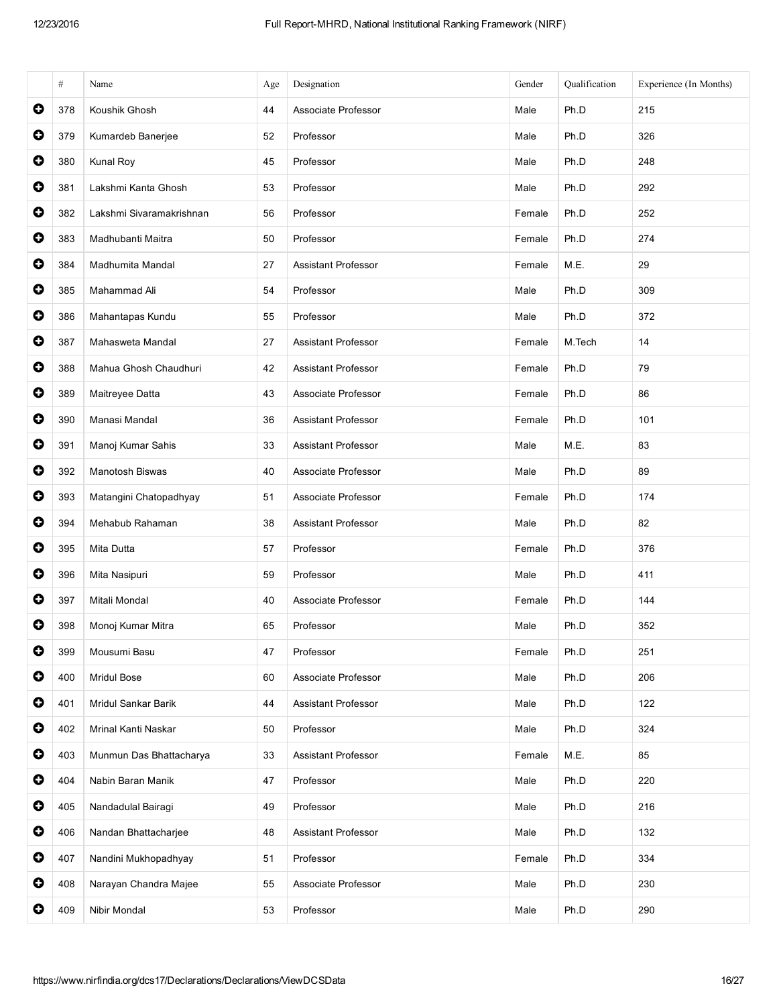|           | $\#$ | Name                     | Age | Designation                | Gender | Oualification | Experience (In Months) |
|-----------|------|--------------------------|-----|----------------------------|--------|---------------|------------------------|
| $\bullet$ | 378  | Koushik Ghosh            | 44  | Associate Professor        | Male   | Ph.D          | 215                    |
| $\bullet$ | 379  | Kumardeb Banerjee        | 52  | Professor                  | Male   | Ph.D          | 326                    |
| $\bullet$ | 380  | Kunal Roy                | 45  | Professor                  | Male   | Ph.D          | 248                    |
| $\bullet$ | 381  | Lakshmi Kanta Ghosh      | 53  | Professor                  | Male   | Ph.D          | 292                    |
| $\bullet$ | 382  | Lakshmi Sivaramakrishnan | 56  | Professor                  | Female | Ph.D          | 252                    |
| $\bullet$ | 383  | Madhubanti Maitra        | 50  | Professor                  | Female | Ph.D          | 274                    |
| $\bullet$ | 384  | Madhumita Mandal         | 27  | <b>Assistant Professor</b> | Female | M.E.          | 29                     |
| $\bullet$ | 385  | Mahammad Ali             | 54  | Professor                  | Male   | Ph.D          | 309                    |
| $\bullet$ | 386  | Mahantapas Kundu         | 55  | Professor                  | Male   | Ph.D          | 372                    |
| $\bullet$ | 387  | Mahasweta Mandal         | 27  | <b>Assistant Professor</b> | Female | M.Tech        | 14                     |
| $\bullet$ | 388  | Mahua Ghosh Chaudhuri    | 42  | <b>Assistant Professor</b> | Female | Ph.D          | 79                     |
| $\bullet$ | 389  | Maitreyee Datta          | 43  | Associate Professor        | Female | Ph.D          | 86                     |
| $\bullet$ | 390  | Manasi Mandal            | 36  | <b>Assistant Professor</b> | Female | Ph.D          | 101                    |
| $\bullet$ | 391  | Manoj Kumar Sahis        | 33  | <b>Assistant Professor</b> | Male   | M.E.          | 83                     |
| $\bullet$ | 392  | Manotosh Biswas          | 40  | Associate Professor        | Male   | Ph.D          | 89                     |
| $\bullet$ | 393  | Matangini Chatopadhyay   | 51  | Associate Professor        | Female | Ph.D          | 174                    |
| $\bullet$ | 394  | Mehabub Rahaman          | 38  | <b>Assistant Professor</b> | Male   | Ph.D          | 82                     |
| $\bullet$ | 395  | Mita Dutta               | 57  | Professor                  | Female | Ph.D          | 376                    |
| $\bullet$ | 396  | Mita Nasipuri            | 59  | Professor                  | Male   | Ph.D          | 411                    |
| $\bullet$ | 397  | Mitali Mondal            | 40  | Associate Professor        | Female | Ph.D          | 144                    |
| $\bullet$ | 398  | Monoj Kumar Mitra        | 65  | Professor                  | Male   | Ph.D          | 352                    |
| $\bullet$ | 399  | Mousumi Basu             | 47  | Professor                  | Female | Ph.D          | 251                    |
| $\bullet$ | 400  | Mridul Bose              | 60  | Associate Professor        | Male   | Ph.D          | 206                    |
| $\bullet$ | 401  | Mridul Sankar Barik      | 44  | Assistant Professor        | Male   | Ph.D          | 122                    |
| $\bullet$ | 402  | Mrinal Kanti Naskar      | 50  | Professor                  | Male   | Ph.D          | 324                    |
| $\bullet$ | 403  | Munmun Das Bhattacharya  | 33  | <b>Assistant Professor</b> | Female | M.E.          | 85                     |
| $\bullet$ | 404  | Nabin Baran Manik        | 47  | Professor                  | Male   | Ph.D          | 220                    |
| $\bullet$ | 405  | Nandadulal Bairagi       | 49  | Professor                  | Male   | Ph.D          | 216                    |
| $\bullet$ | 406  | Nandan Bhattacharjee     | 48  | Assistant Professor        | Male   | Ph.D          | 132                    |
| $\bullet$ | 407  | Nandini Mukhopadhyay     | 51  | Professor                  | Female | Ph.D          | 334                    |
| $\bullet$ | 408  | Narayan Chandra Majee    | 55  | Associate Professor        | Male   | Ph.D          | 230                    |
| $\bullet$ | 409  | Nibir Mondal             | 53  | Professor                  | Male   | Ph.D          | 290                    |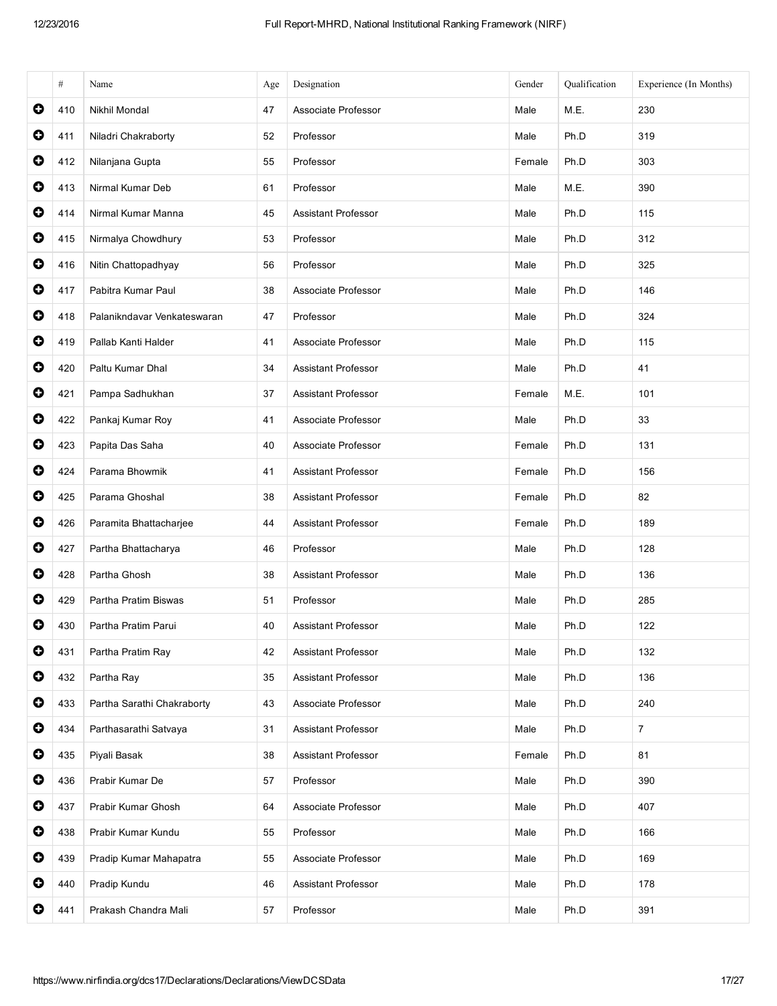|           | #   | Name                        | Age | Designation                | Gender | Qualification | Experience (In Months) |
|-----------|-----|-----------------------------|-----|----------------------------|--------|---------------|------------------------|
| $\bullet$ | 410 | Nikhil Mondal               | 47  | Associate Professor        | Male   | M.E.          | 230                    |
| $\bullet$ | 411 | Niladri Chakraborty         | 52  | Professor                  | Male   | Ph.D          | 319                    |
| $\bullet$ | 412 | Nilanjana Gupta             | 55  | Professor                  | Female | Ph.D          | 303                    |
| $\bullet$ | 413 | Nirmal Kumar Deb            | 61  | Professor                  | Male   | M.E.          | 390                    |
| $\bullet$ | 414 | Nirmal Kumar Manna          | 45  | <b>Assistant Professor</b> | Male   | Ph.D          | 115                    |
| $\bullet$ | 415 | Nirmalya Chowdhury          | 53  | Professor                  | Male   | Ph.D          | 312                    |
| $\bullet$ | 416 | Nitin Chattopadhyay         | 56  | Professor                  | Male   | Ph.D          | 325                    |
| $\bullet$ | 417 | Pabitra Kumar Paul          | 38  | Associate Professor        | Male   | Ph.D          | 146                    |
| $\bullet$ | 418 | Palanikndavar Venkateswaran | 47  | Professor                  | Male   | Ph.D          | 324                    |
| $\bullet$ | 419 | Pallab Kanti Halder         | 41  | Associate Professor        | Male   | Ph.D          | 115                    |
| $\bullet$ | 420 | Paltu Kumar Dhal            | 34  | <b>Assistant Professor</b> | Male   | Ph.D          | 41                     |
| $\bullet$ | 421 | Pampa Sadhukhan             | 37  | <b>Assistant Professor</b> | Female | M.E.          | 101                    |
| $\bullet$ | 422 | Pankaj Kumar Roy            | 41  | Associate Professor        | Male   | Ph.D          | 33                     |
| $\bullet$ | 423 | Papita Das Saha             | 40  | Associate Professor        | Female | Ph.D          | 131                    |
| $\bullet$ | 424 | Parama Bhowmik              | 41  | <b>Assistant Professor</b> | Female | Ph.D          | 156                    |
| 0         | 425 | Parama Ghoshal              | 38  | <b>Assistant Professor</b> | Female | Ph.D          | 82                     |
| $\bullet$ | 426 | Paramita Bhattacharjee      | 44  | <b>Assistant Professor</b> | Female | Ph.D          | 189                    |
| $\bullet$ | 427 | Partha Bhattacharya         | 46  | Professor                  | Male   | Ph.D          | 128                    |
| $\bullet$ | 428 | Partha Ghosh                | 38  | <b>Assistant Professor</b> | Male   | Ph.D          | 136                    |
| $\bullet$ | 429 | Partha Pratim Biswas        | 51  | Professor                  | Male   | Ph.D          | 285                    |
| $\bullet$ | 430 | Partha Pratim Parui         | 40  | Assistant Professor        | Male   | Ph.D          | 122                    |
| $\bullet$ | 431 | Partha Pratim Ray           | 42  | <b>Assistant Professor</b> | Male   | Ph.D          | 132                    |
| $\bullet$ | 432 | Partha Ray                  | 35  | Assistant Professor        | Male   | Ph.D          | 136                    |
| $\bullet$ | 433 | Partha Sarathi Chakraborty  | 43  | Associate Professor        | Male   | Ph.D          | 240                    |
| $\bullet$ | 434 | Parthasarathi Satvaya       | 31  | <b>Assistant Professor</b> | Male   | Ph.D          | $\overline{7}$         |
| $\bullet$ | 435 | Piyali Basak                | 38  | <b>Assistant Professor</b> | Female | Ph.D          | 81                     |
| $\bullet$ | 436 | Prabir Kumar De             | 57  | Professor                  | Male   | Ph.D          | 390                    |
| $\bullet$ | 437 | Prabir Kumar Ghosh          | 64  | Associate Professor        | Male   | Ph.D          | 407                    |
| $\bullet$ | 438 | Prabir Kumar Kundu          | 55  | Professor                  | Male   | Ph.D          | 166                    |
| $\bullet$ | 439 | Pradip Kumar Mahapatra      | 55  | Associate Professor        | Male   | Ph.D          | 169                    |
| $\bullet$ | 440 | Pradip Kundu                | 46  | Assistant Professor        | Male   | Ph.D          | 178                    |
| 0         | 441 | Prakash Chandra Mali        | 57  | Professor                  | Male   | Ph.D          | 391                    |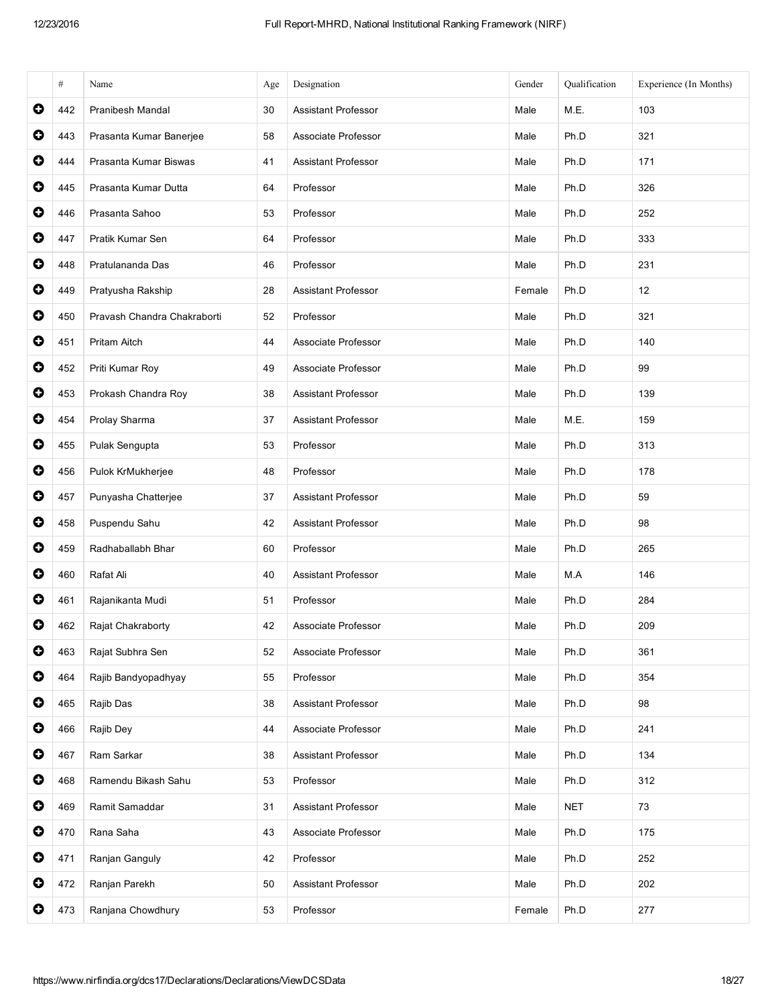|           | #   | Name                        | Age | Designation                | Gender | Oualification | Experience (In Months) |
|-----------|-----|-----------------------------|-----|----------------------------|--------|---------------|------------------------|
| 0         | 442 | <b>Pranibesh Mandal</b>     | 30  | <b>Assistant Professor</b> | Male   | M.E.          | 103                    |
| $\bullet$ | 443 | Prasanta Kumar Banerjee     | 58  | Associate Professor        | Male   | Ph.D          | 321                    |
| $\bullet$ | 444 | Prasanta Kumar Biswas       | 41  | <b>Assistant Professor</b> | Male   | Ph.D          | 171                    |
| $\bullet$ | 445 | Prasanta Kumar Dutta        | 64  | Professor                  | Male   | Ph.D          | 326                    |
| $\bullet$ | 446 | Prasanta Sahoo              | 53  | Professor                  | Male   | Ph.D          | 252                    |
| $\bullet$ | 447 | Pratik Kumar Sen            | 64  | Professor                  | Male   | Ph.D          | 333                    |
| $\bullet$ | 448 | Pratulananda Das            | 46  | Professor                  | Male   | Ph.D          | 231                    |
| $\bullet$ | 449 | Pratyusha Rakship           | 28  | <b>Assistant Professor</b> | Female | Ph.D          | 12                     |
| 0         | 450 | Pravash Chandra Chakraborti | 52  | Professor                  | Male   | Ph.D          | 321                    |
| 0         | 451 | Pritam Aitch                | 44  | Associate Professor        | Male   | Ph.D          | 140                    |
| $\bullet$ | 452 | Priti Kumar Roy             | 49  | Associate Professor        | Male   | Ph.D          | 99                     |
| $\bullet$ | 453 | Prokash Chandra Roy         | 38  | Assistant Professor        | Male   | Ph.D          | 139                    |
| $\bullet$ | 454 | Prolay Sharma               | 37  | <b>Assistant Professor</b> | Male   | M.E.          | 159                    |
| O         | 455 | Pulak Sengupta              | 53  | Professor                  | Male   | Ph.D          | 313                    |
| $\bullet$ | 456 | Pulok KrMukherjee           | 48  | Professor                  | Male   | Ph.D          | 178                    |
| $\bullet$ | 457 | Punyasha Chatterjee         | 37  | <b>Assistant Professor</b> | Male   | Ph.D          | 59                     |
| $\bullet$ | 458 | Puspendu Sahu               | 42  | <b>Assistant Professor</b> | Male   | Ph.D          | 98                     |
| 0         | 459 | Radhaballabh Bhar           | 60  | Professor                  | Male   | Ph.D          | 265                    |
| $\bullet$ | 460 | Rafat Ali                   | 40  | <b>Assistant Professor</b> | Male   | M.A           | 146                    |
| $\bullet$ | 461 | Rajanikanta Mudi            | 51  | Professor                  | Male   | Ph.D          | 284                    |
| O         | 462 | Rajat Chakraborty           | 42  | Associate Professor        | Male   | Ph.D          | 209                    |
| 0         | 463 | Rajat Subhra Sen            | 52  | Associate Professor        | Male   | Ph.D          | 361                    |
| 0         | 464 | Rajib Bandyopadhyay         | 55  | Professor                  | Male   | Ph.D          | 354                    |
| $\bullet$ | 465 | Rajib Das                   | 38  | <b>Assistant Professor</b> | Male   | Ph.D          | 98                     |
| $\bullet$ | 466 | Rajib Dey                   | 44  | Associate Professor        | Male   | Ph.D          | 241                    |
| 0         | 467 | Ram Sarkar                  | 38  | Assistant Professor        | Male   | Ph.D          | 134                    |
| 0         | 468 | Ramendu Bikash Sahu         | 53  | Professor                  | Male   | Ph.D          | 312                    |
| $\bullet$ | 469 | Ramit Samaddar              | 31  | Assistant Professor        | Male   | <b>NET</b>    | 73                     |
| $\bullet$ | 470 | Rana Saha                   | 43  | Associate Professor        | Male   | Ph.D          | 175                    |
| 0         | 471 | Ranjan Ganguly              | 42  | Professor                  | Male   | Ph.D          | 252                    |
| 0         | 472 | Ranjan Parekh               | 50  | <b>Assistant Professor</b> | Male   | Ph.D          | 202                    |
| 0         | 473 | Ranjana Chowdhury           | 53  | Professor                  | Female | Ph.D          | 277                    |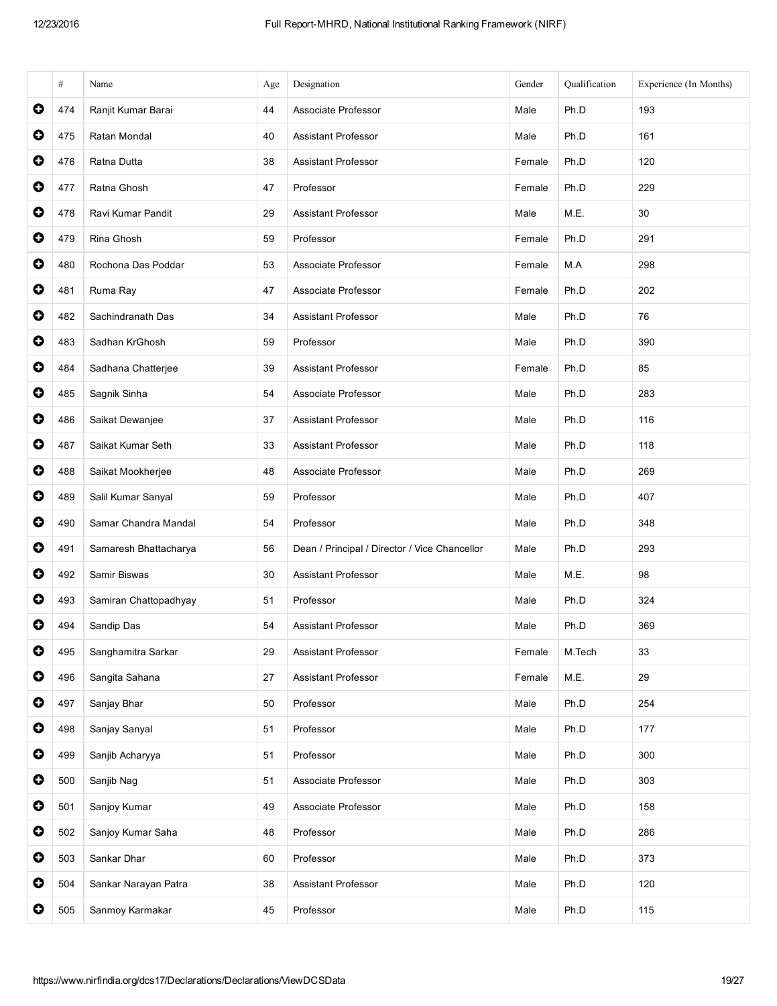|           | #   | Name                  | Age | Designation                                   | Gender | Qualification | Experience (In Months) |
|-----------|-----|-----------------------|-----|-----------------------------------------------|--------|---------------|------------------------|
| $\bullet$ | 474 | Ranjit Kumar Barai    | 44  | Associate Professor                           | Male   | Ph.D          | 193                    |
| O         | 475 | Ratan Mondal          | 40  | Assistant Professor                           | Male   | Ph.D          | 161                    |
| 0         | 476 | Ratna Dutta           | 38  | <b>Assistant Professor</b>                    | Female | Ph.D          | 120                    |
| $\bullet$ | 477 | Ratna Ghosh           | 47  | Professor                                     | Female | Ph.D          | 229                    |
| $\bullet$ | 478 | Ravi Kumar Pandit     | 29  | Assistant Professor                           | Male   | M.E.          | 30                     |
| 0         | 479 | Rina Ghosh            | 59  | Professor                                     | Female | Ph.D          | 291                    |
| 0         | 480 | Rochona Das Poddar    | 53  | Associate Professor                           | Female | M.A           | 298                    |
| $\bullet$ | 481 | Ruma Ray              | 47  | Associate Professor                           | Female | Ph.D          | 202                    |
| $\bullet$ | 482 | Sachindranath Das     | 34  | <b>Assistant Professor</b>                    | Male   | Ph.D          | 76                     |
| $\bullet$ | 483 | Sadhan KrGhosh        | 59  | Professor                                     | Male   | Ph.D          | 390                    |
| 0         | 484 | Sadhana Chatterjee    | 39  | <b>Assistant Professor</b>                    | Female | Ph.D          | 85                     |
| $\bullet$ | 485 | Sagnik Sinha          | 54  | Associate Professor                           | Male   | Ph.D          | 283                    |
| $\bullet$ | 486 | Saikat Dewanjee       | 37  | Assistant Professor                           | Male   | Ph.D          | 116                    |
| $\bullet$ | 487 | Saikat Kumar Seth     | 33  | <b>Assistant Professor</b>                    | Male   | Ph.D          | 118                    |
| $\bullet$ | 488 | Saikat Mookherjee     | 48  | Associate Professor                           | Male   | Ph.D          | 269                    |
| $\bullet$ | 489 | Salil Kumar Sanyal    | 59  | Professor                                     | Male   | Ph.D          | 407                    |
| $\bullet$ | 490 | Samar Chandra Mandal  | 54  | Professor                                     | Male   | Ph.D          | 348                    |
| $\bullet$ | 491 | Samaresh Bhattacharya | 56  | Dean / Principal / Director / Vice Chancellor | Male   | Ph.D          | 293                    |
| O         | 492 | Samir Biswas          | 30  | <b>Assistant Professor</b>                    | Male   | M.E.          | 98                     |
| 0         | 493 | Samiran Chattopadhyay | 51  | Professor                                     | Male   | Ph.D          | 324                    |
| O         | 494 | Sandip Das            | 54  | <b>Assistant Professor</b>                    | Male   | Ph.D          | 369                    |
| $\bullet$ | 495 | Sanghamitra Sarkar    | 29  | Assistant Professor                           | Female | M.Tech        | 33                     |
| 0         | 496 | Sangita Sahana        | 27  | Assistant Professor                           | Female | M.E.          | 29                     |
| 0         | 497 | Sanjay Bhar           | 50  | Professor                                     | Male   | Ph.D          | 254                    |
| $\bullet$ | 498 | Sanjay Sanyal         | 51  | Professor                                     | Male   | Ph.D          | 177                    |
| $\bullet$ | 499 | Sanjib Acharyya       | 51  | Professor                                     | Male   | Ph.D          | 300                    |
| $\bullet$ | 500 | Sanjib Nag            | 51  | Associate Professor                           | Male   | Ph.D          | 303                    |
| 0         | 501 | Sanjoy Kumar          | 49  | Associate Professor                           | Male   | Ph.D          | 158                    |
| 0         | 502 | Sanjoy Kumar Saha     | 48  | Professor                                     | Male   | Ph.D          | 286                    |
| $\bullet$ | 503 | Sankar Dhar           | 60  | Professor                                     | Male   | Ph.D          | 373                    |
| $\bullet$ | 504 | Sankar Narayan Patra  | 38  | Assistant Professor                           | Male   | Ph.D          | 120                    |
| 0         | 505 | Sanmoy Karmakar       | 45  | Professor                                     | Male   | Ph.D          | 115                    |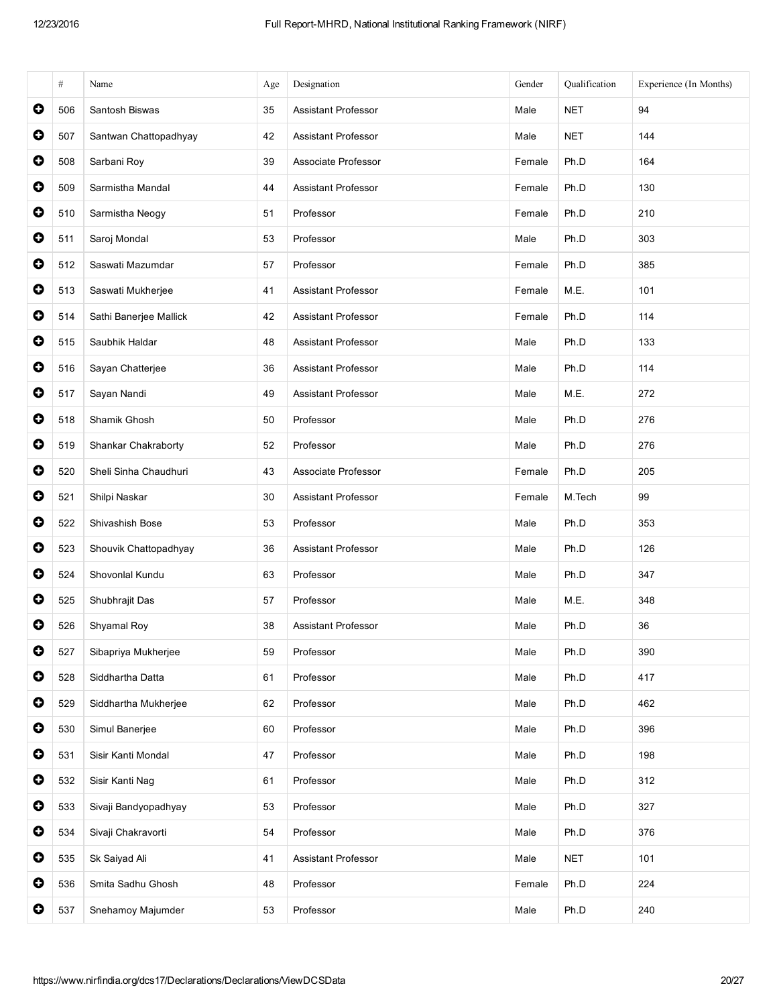|           | $\#$ | Name                   | Age | Designation                   | Gender | Qualification | Experience (In Months) |
|-----------|------|------------------------|-----|-------------------------------|--------|---------------|------------------------|
| $\bullet$ | 506  | Santosh Biswas         | 35  | <b>Assistant Professor</b>    | Male   | <b>NET</b>    | 94                     |
| $\bullet$ | 507  | Santwan Chattopadhyay  | 42  | <b>Assistant Professor</b>    | Male   | <b>NET</b>    | 144                    |
| $\bullet$ | 508  | Sarbani Roy            | 39  | Associate Professor<br>Female |        | Ph.D          | 164                    |
| $\bullet$ | 509  | Sarmistha Mandal       | 44  | <b>Assistant Professor</b>    | Female | Ph.D          | 130                    |
| $\bullet$ | 510  | Sarmistha Neogy        | 51  | Professor                     | Female | Ph.D          | 210                    |
| $\bullet$ | 511  | Saroj Mondal           | 53  | Professor                     | Male   | Ph.D          | 303                    |
| $\bullet$ | 512  | Saswati Mazumdar       | 57  | Professor                     | Female | Ph.D          | 385                    |
| $\bullet$ | 513  | Saswati Mukherjee      | 41  | <b>Assistant Professor</b>    | Female | M.E.          | 101                    |
| $\bullet$ | 514  | Sathi Banerjee Mallick | 42  | <b>Assistant Professor</b>    | Female | Ph.D          | 114                    |
| $\bullet$ | 515  | Saubhik Haldar         | 48  | <b>Assistant Professor</b>    | Male   | Ph.D          | 133                    |
| $\bullet$ | 516  | Sayan Chatterjee       | 36  | <b>Assistant Professor</b>    | Male   | Ph.D          | 114                    |
| $\bullet$ | 517  | Sayan Nandi            | 49  | <b>Assistant Professor</b>    | Male   | M.E.          | 272                    |
| $\bullet$ | 518  | Shamik Ghosh           | 50  | Professor                     | Male   | Ph.D          | 276                    |
| $\bullet$ | 519  | Shankar Chakraborty    | 52  | Professor                     | Male   | Ph.D          | 276                    |
| $\bullet$ | 520  | Sheli Sinha Chaudhuri  | 43  | Associate Professor           | Female | Ph.D          | 205                    |
| $\bullet$ | 521  | Shilpi Naskar          | 30  | <b>Assistant Professor</b>    | Female | M.Tech        | 99                     |
| $\bullet$ | 522  | Shivashish Bose        | 53  | Professor                     | Male   | Ph.D          | 353                    |
| $\bullet$ | 523  | Shouvik Chattopadhyay  | 36  | <b>Assistant Professor</b>    | Male   | Ph.D          | 126                    |
| $\bullet$ | 524  | Shovonlal Kundu        | 63  | Professor                     | Male   | Ph.D          | 347                    |
| $\bullet$ | 525  | Shubhrajit Das         | 57  | Professor                     | Male   | M.E.          | 348                    |
| O         | 526  | Shyamal Roy            | 38  | <b>Assistant Professor</b>    | Male   | Ph.D          | 36                     |
| $\bullet$ | 527  | Sibapriya Mukherjee    | 59  | Professor                     | Male   | Ph.D          | 390                    |
| $\bullet$ | 528  | Siddhartha Datta       | 61  | Professor                     | Male   | Ph.D          | 417                    |
| $\bullet$ | 529  | Siddhartha Mukherjee   | 62  | Professor                     | Male   | Ph.D          | 462                    |
| $\bullet$ | 530  | Simul Banerjee         | 60  | Professor                     | Male   | Ph.D          | 396                    |
| $\bullet$ | 531  | Sisir Kanti Mondal     | 47  | Professor                     | Male   | Ph.D          | 198                    |
| $\bullet$ | 532  | Sisir Kanti Nag        | 61  | Professor                     | Male   | Ph.D          | 312                    |
| $\bullet$ | 533  | Sivaji Bandyopadhyay   | 53  | Professor                     | Male   | Ph.D          | 327                    |
| $\bullet$ | 534  | Sivaji Chakravorti     | 54  | Professor                     | Male   | Ph.D          | 376                    |
| $\bullet$ | 535  | Sk Saiyad Ali          | 41  | Assistant Professor           | Male   | <b>NET</b>    | 101                    |
| $\bullet$ | 536  | Smita Sadhu Ghosh      | 48  | Professor                     | Female | Ph.D          | 224                    |
| $\bullet$ | 537  | Snehamoy Majumder      | 53  | Professor                     | Male   | Ph.D          | 240                    |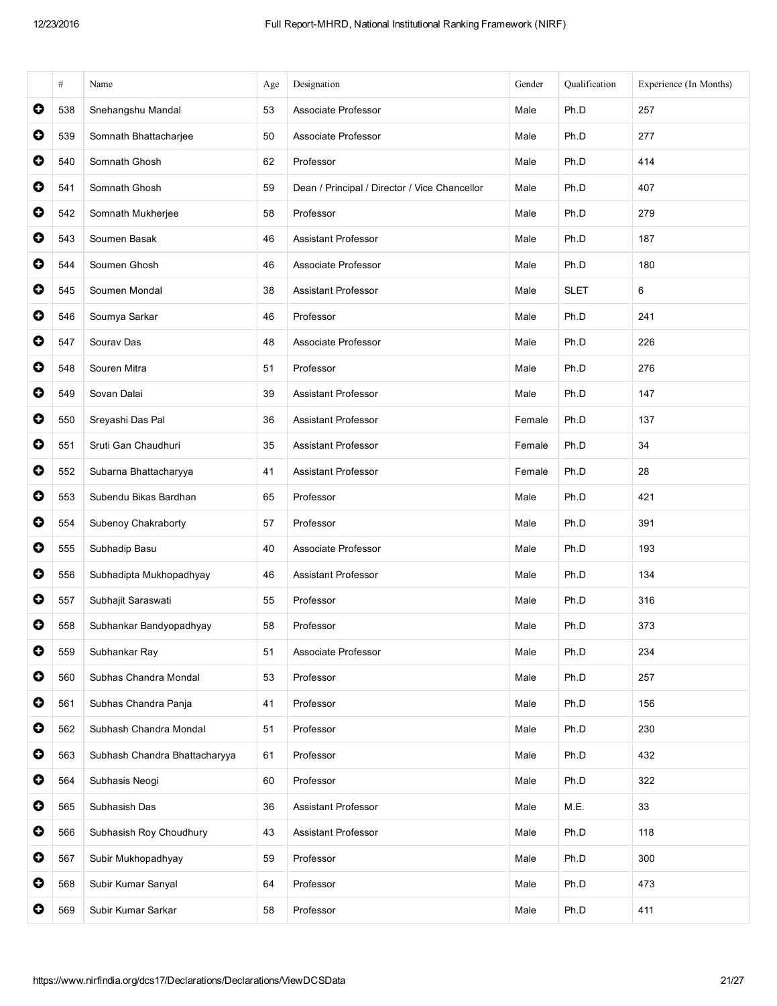|           | $\#$ | Name                          | Age | Designation                                   | Gender | Qualification | Experience (In Months) |
|-----------|------|-------------------------------|-----|-----------------------------------------------|--------|---------------|------------------------|
| $\bullet$ | 538  | Snehangshu Mandal             | 53  | Associate Professor                           | Male   | Ph.D          | 257                    |
| $\bullet$ | 539  | Somnath Bhattacharjee         | 50  | Associate Professor                           | Male   | Ph.D          | 277                    |
| 0         | 540  | Somnath Ghosh                 | 62  | Professor                                     | Male   | Ph.D          | 414                    |
| $\bullet$ | 541  | Somnath Ghosh                 | 59  | Dean / Principal / Director / Vice Chancellor | Male   | Ph.D          | 407                    |
| $\bullet$ | 542  | Somnath Mukherjee             | 58  | Professor                                     | Male   | Ph.D          | 279                    |
| $\bullet$ | 543  | Soumen Basak                  | 46  | <b>Assistant Professor</b>                    | Male   | Ph.D          | 187                    |
| $\bullet$ | 544  | Soumen Ghosh                  | 46  | Associate Professor                           | Male   | Ph.D          | 180                    |
| $\bullet$ | 545  | Soumen Mondal                 | 38  | <b>Assistant Professor</b>                    | Male   | <b>SLET</b>   | 6                      |
| $\bullet$ | 546  | Soumya Sarkar                 | 46  | Professor                                     | Male   | Ph.D          | 241                    |
| $\bullet$ | 547  | Sourav Das                    | 48  | Associate Professor                           | Male   | Ph.D          | 226                    |
| $\bullet$ | 548  | Souren Mitra                  | 51  | Professor                                     | Male   | Ph.D          | 276                    |
| $\bullet$ | 549  | Sovan Dalai                   | 39  | <b>Assistant Professor</b>                    | Male   | Ph.D          | 147                    |
| $\bullet$ | 550  | Sreyashi Das Pal              | 36  | <b>Assistant Professor</b>                    | Female | Ph.D          | 137                    |
| $\bullet$ | 551  | Sruti Gan Chaudhuri           | 35  | <b>Assistant Professor</b>                    | Female | Ph.D          | 34                     |
| $\bullet$ | 552  | Subarna Bhattacharyya         | 41  | <b>Assistant Professor</b>                    | Female | Ph.D          | 28                     |
| $\bullet$ | 553  | Subendu Bikas Bardhan         | 65  | Professor                                     | Male   | Ph.D          | 421                    |
| $\bullet$ | 554  | Subenoy Chakraborty           | 57  | Professor                                     | Male   | Ph.D          | 391                    |
| $\bullet$ | 555  | Subhadip Basu                 | 40  | Associate Professor                           | Male   | Ph.D          | 193                    |
| $\bullet$ | 556  | Subhadipta Mukhopadhyay       | 46  | <b>Assistant Professor</b>                    | Male   | Ph.D          | 134                    |
| $\bullet$ | 557  | Subhajit Saraswati            | 55  | Professor                                     | Male   | Ph.D          | 316                    |
| $\bullet$ | 558  | Subhankar Bandyopadhyay       | 58  | Professor                                     | Male   | Ph.D          | 373                    |
| $\bullet$ | 559  | Subhankar Ray                 | 51  | Associate Professor                           | Male   | Ph.D          | 234                    |
| $\bullet$ | 560  | Subhas Chandra Mondal         | 53  | Professor                                     | Male   | Ph.D          | 257                    |
| $\bullet$ | 561  | Subhas Chandra Panja          | 41  | Professor                                     | Male   | Ph.D          | 156                    |
| $\bullet$ | 562  | Subhash Chandra Mondal        | 51  | Professor                                     | Male   | Ph.D          | 230                    |
| $\bullet$ | 563  | Subhash Chandra Bhattacharyya | 61  | Professor                                     | Male   | Ph.D          | 432                    |
| $\bullet$ | 564  | Subhasis Neogi                | 60  | Professor                                     | Male   | Ph.D          | 322                    |
| $\bullet$ | 565  | Subhasish Das                 | 36  | <b>Assistant Professor</b>                    | Male   | M.E.          | 33                     |
| $\bullet$ | 566  | Subhasish Roy Choudhury       | 43  | Assistant Professor                           | Male   | Ph.D          | 118                    |
| $\bullet$ | 567  | Subir Mukhopadhyay            | 59  | Professor                                     | Male   | Ph.D          | 300                    |
| $\bullet$ | 568  | Subir Kumar Sanyal            | 64  | Professor                                     | Male   | Ph.D          | 473                    |
| $\bullet$ | 569  | Subir Kumar Sarkar            | 58  | Professor                                     | Male   | Ph.D          | 411                    |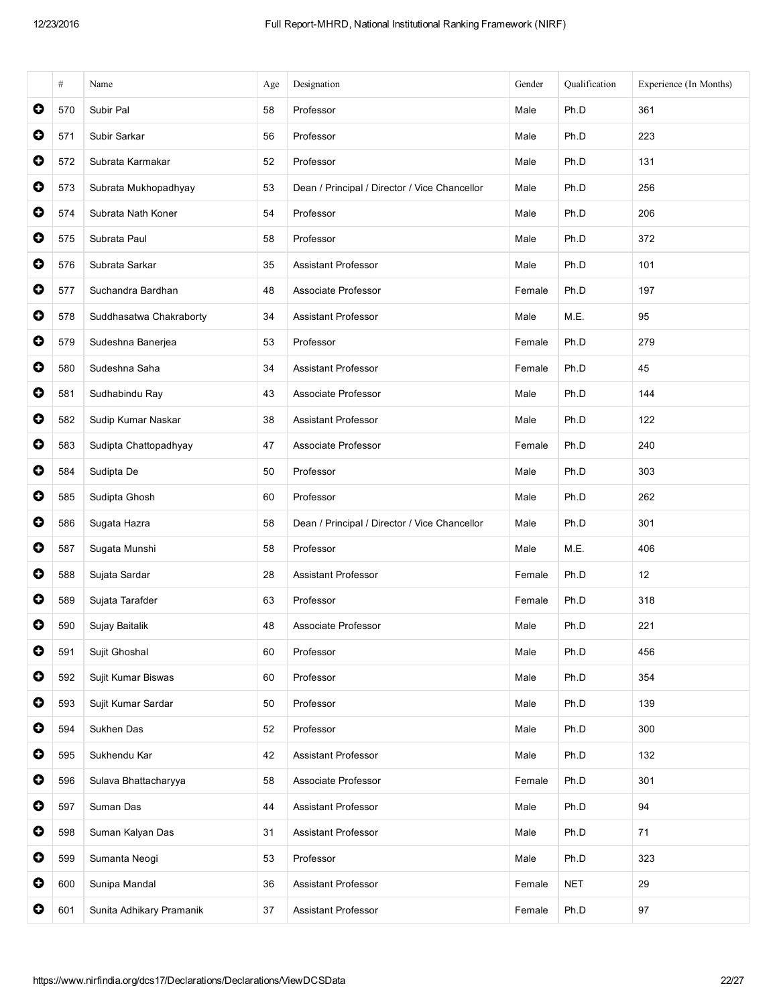|           | $\#$ | Name                     | Age | Designation                                   | Gender | Qualification | Experience (In Months) |
|-----------|------|--------------------------|-----|-----------------------------------------------|--------|---------------|------------------------|
| 0         | 570  | Subir Pal                | 58  | Professor                                     | Male   | Ph.D          | 361                    |
| $\bullet$ | 571  | Subir Sarkar             | 56  | Professor                                     | Male   | Ph.D          | 223                    |
| $\bullet$ | 572  | Subrata Karmakar         | 52  | Professor                                     | Male   | Ph.D          | 131                    |
| $\bullet$ | 573  | Subrata Mukhopadhyay     | 53  | Dean / Principal / Director / Vice Chancellor | Male   | Ph.D          | 256                    |
| $\bullet$ | 574  | Subrata Nath Koner       | 54  | Professor                                     | Male   | Ph.D          | 206                    |
| $\bullet$ | 575  | Subrata Paul             | 58  | Professor                                     | Male   | Ph.D          | 372                    |
| $\bullet$ | 576  | Subrata Sarkar           | 35  | <b>Assistant Professor</b>                    | Male   | Ph.D          | 101                    |
| $\bullet$ | 577  | Suchandra Bardhan        | 48  | Associate Professor                           | Female | Ph.D          | 197                    |
| $\bullet$ | 578  | Suddhasatwa Chakraborty  | 34  | <b>Assistant Professor</b>                    | Male   | M.E.          | 95                     |
| $\bullet$ | 579  | Sudeshna Banerjea        | 53  | Professor                                     | Female | Ph.D          | 279                    |
| $\bullet$ | 580  | Sudeshna Saha            | 34  | <b>Assistant Professor</b>                    | Female | Ph.D          | 45                     |
| $\bullet$ | 581  | Sudhabindu Ray           | 43  | Associate Professor                           | Male   | Ph.D          | 144                    |
| $\bullet$ | 582  | Sudip Kumar Naskar       | 38  | <b>Assistant Professor</b>                    | Male   | Ph.D          | 122                    |
| $\bullet$ | 583  | Sudipta Chattopadhyay    | 47  | Associate Professor                           | Female | Ph.D          | 240                    |
| $\bullet$ | 584  | Sudipta De               | 50  | Professor                                     | Male   | Ph.D          | 303                    |
| $\bullet$ | 585  | Sudipta Ghosh            | 60  | Professor                                     | Male   | Ph.D          | 262                    |
| $\bullet$ | 586  | Sugata Hazra             | 58  | Dean / Principal / Director / Vice Chancellor | Male   | Ph.D          | 301                    |
| $\bullet$ | 587  | Sugata Munshi            | 58  | Professor                                     | Male   | M.E.          | 406                    |
| $\bullet$ | 588  | Sujata Sardar            | 28  | <b>Assistant Professor</b>                    | Female | Ph.D          | 12                     |
| $\bullet$ | 589  | Sujata Tarafder          | 63  | Professor                                     | Female | Ph.D          | 318                    |
| O         | 590  | Sujay Baitalik           | 48  | Associate Professor                           | Male   | Ph.D          | 221                    |
| $\bullet$ | 591  | Sujit Ghoshal            | 60  | Professor                                     | Male   | Ph.D          | 456                    |
| $\bullet$ | 592  | Sujit Kumar Biswas       | 60  | Professor                                     | Male   | Ph.D          | 354                    |
| $\bullet$ | 593  | Sujit Kumar Sardar       | 50  | Professor                                     | Male   | Ph.D          | 139                    |
| $\bullet$ | 594  | Sukhen Das               | 52  | Professor                                     | Male   | Ph.D          | 300                    |
| $\bullet$ | 595  | Sukhendu Kar             | 42  | <b>Assistant Professor</b>                    | Male   | Ph.D          | 132                    |
| $\bullet$ | 596  | Sulava Bhattacharyya     | 58  | Associate Professor                           | Female | Ph.D          | 301                    |
| $\bullet$ | 597  | Suman Das                | 44  | <b>Assistant Professor</b>                    | Male   | Ph.D          | 94                     |
| $\bullet$ | 598  | Suman Kalyan Das         | 31  | <b>Assistant Professor</b>                    | Male   | Ph.D          | 71                     |
| $\bullet$ | 599  | Sumanta Neogi            | 53  | Professor                                     | Male   | Ph.D          | 323                    |
| $\bullet$ | 600  | Sunipa Mandal            | 36  | <b>Assistant Professor</b>                    | Female | <b>NET</b>    | 29                     |
| $\bullet$ | 601  | Sunita Adhikary Pramanik | 37  | <b>Assistant Professor</b>                    | Female | Ph.D          | 97                     |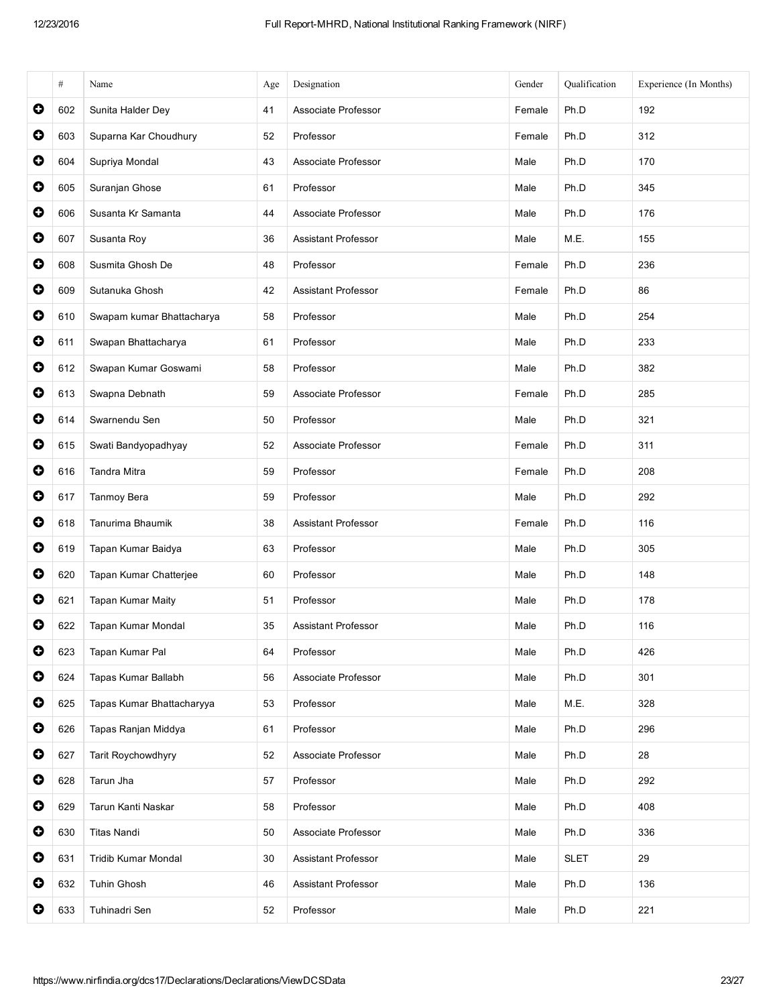|           | $\#$ | Name                       | Age | Designation                | Gender | Qualification | Experience (In Months) |
|-----------|------|----------------------------|-----|----------------------------|--------|---------------|------------------------|
| $\bullet$ | 602  | Sunita Halder Dey          | 41  | Associate Professor        | Female | Ph.D          | 192                    |
| $\bullet$ | 603  | Suparna Kar Choudhury      | 52  | Professor                  | Female | Ph.D          | 312                    |
| $\bullet$ | 604  | Supriya Mondal             | 43  | Associate Professor        | Male   | Ph.D          | 170                    |
| $\bullet$ | 605  | Suranjan Ghose             | 61  | Professor                  | Male   | Ph.D          | 345                    |
| $\bullet$ | 606  | Susanta Kr Samanta         | 44  | Associate Professor        | Male   | Ph.D          | 176                    |
| $\bullet$ | 607  | Susanta Roy                | 36  | Assistant Professor        | Male   | M.E.          | 155                    |
| $\bullet$ | 608  | Susmita Ghosh De           | 48  | Professor                  | Female | Ph.D          | 236                    |
| $\bullet$ | 609  | Sutanuka Ghosh             | 42  | <b>Assistant Professor</b> | Female | Ph.D          | 86                     |
| $\bullet$ | 610  | Swapam kumar Bhattacharya  | 58  | Professor                  | Male   | Ph.D          | 254                    |
| $\bullet$ | 611  | Swapan Bhattacharya        | 61  | Professor                  | Male   | Ph.D          | 233                    |
| $\bullet$ | 612  | Swapan Kumar Goswami       | 58  | Professor                  | Male   | Ph.D          | 382                    |
| $\bullet$ | 613  | Swapna Debnath             | 59  | Associate Professor        | Female | Ph.D          | 285                    |
| $\bullet$ | 614  | Swarnendu Sen              | 50  | Professor                  | Male   | Ph.D          | 321                    |
| $\bullet$ | 615  | Swati Bandyopadhyay        | 52  | Associate Professor        | Female | Ph.D          | 311                    |
| $\bullet$ | 616  | Tandra Mitra               | 59  | Professor                  | Female | Ph.D          | 208                    |
| 0         | 617  | Tanmoy Bera                | 59  | Professor                  | Male   | Ph.D          | 292                    |
| $\bullet$ | 618  | Tanurima Bhaumik           | 38  | <b>Assistant Professor</b> | Female | Ph.D          | 116                    |
| $\bullet$ | 619  | Tapan Kumar Baidya         | 63  | Professor                  | Male   | Ph.D          | 305                    |
| $\bullet$ | 620  | Tapan Kumar Chatterjee     | 60  | Professor                  | Male   | Ph.D          | 148                    |
| $\bullet$ | 621  | Tapan Kumar Maity          | 51  | Professor                  | Male   | Ph.D          | 178                    |
| $\bullet$ | 622  | Tapan Kumar Mondal         | 35  | <b>Assistant Professor</b> | Male   | Ph.D          | 116                    |
| $\bullet$ | 623  | Tapan Kumar Pal            | 64  | Professor                  | Male   | Ph.D          | 426                    |
| $\bullet$ | 624  | Tapas Kumar Ballabh        | 56  | Associate Professor        | Male   | Ph.D          | 301                    |
| $\bullet$ | 625  | Tapas Kumar Bhattacharyya  | 53  | Professor                  | Male   | M.E.          | 328                    |
| $\bullet$ | 626  | Tapas Ranjan Middya        | 61  | Professor                  | Male   | Ph.D          | 296                    |
| $\bullet$ | 627  | Tarit Roychowdhyry         | 52  | Associate Professor        | Male   | Ph.D          | 28                     |
| $\bullet$ | 628  | Tarun Jha                  | 57  | Professor                  | Male   | Ph.D          | 292                    |
| $\bullet$ | 629  | Tarun Kanti Naskar         | 58  | Professor                  | Male   | Ph.D          | 408                    |
| $\bullet$ | 630  | <b>Titas Nandi</b>         | 50  | Associate Professor        | Male   | Ph.D          | 336                    |
| $\bullet$ | 631  | <b>Tridib Kumar Mondal</b> | 30  | Assistant Professor        | Male   | <b>SLET</b>   | 29                     |
| $\bullet$ | 632  | Tuhin Ghosh                | 46  | Assistant Professor        | Male   | Ph.D          | 136                    |
| O         | 633  | Tuhinadri Sen              | 52  | Professor                  | Male   | Ph.D          | 221                    |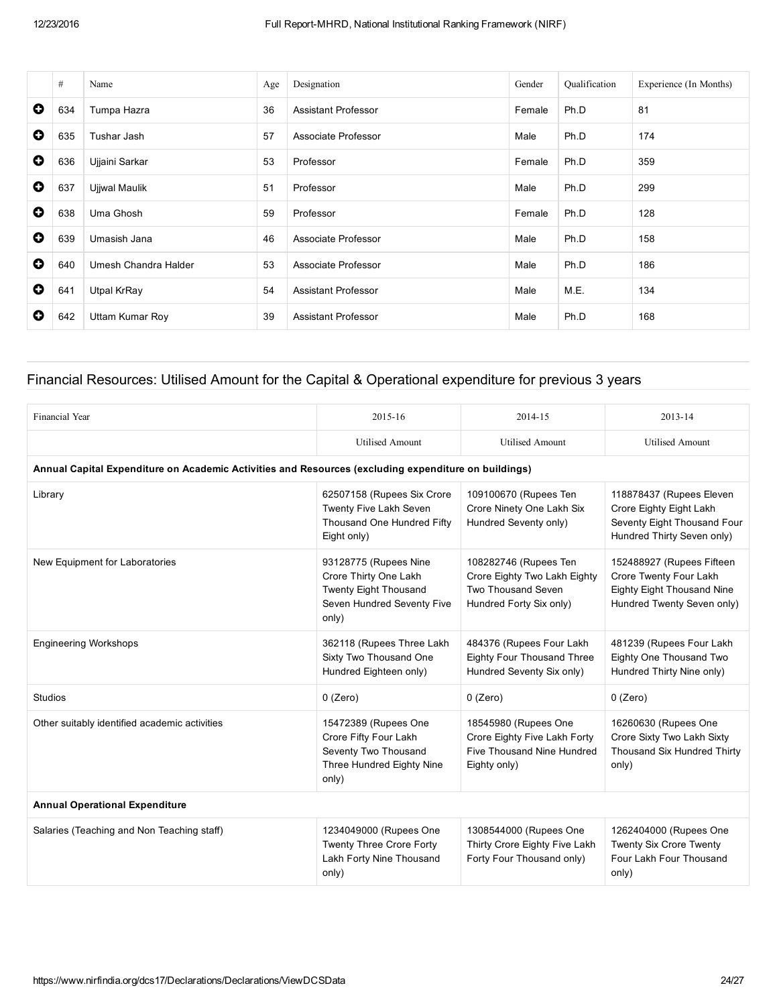|           | #   | Name                 | Age | Designation                | Gender | Qualification | Experience (In Months) |
|-----------|-----|----------------------|-----|----------------------------|--------|---------------|------------------------|
| $\bullet$ | 634 | Tumpa Hazra          | 36  | <b>Assistant Professor</b> | Female | Ph.D          | 81                     |
| $\bullet$ | 635 | Tushar Jash          | 57  | Associate Professor        | Male   | Ph.D          | 174                    |
| $\bullet$ | 636 | Ujjaini Sarkar       | 53  | Professor                  | Female | Ph.D          | 359                    |
| $\bullet$ | 637 | Ujjwal Maulik        | 51  | Professor                  | Male   | Ph.D          | 299                    |
| $\bullet$ | 638 | Uma Ghosh            | 59  | Professor                  | Female | Ph.D          | 128                    |
| $\bullet$ | 639 | Umasish Jana         | 46  | Associate Professor        | Male   | Ph.D          | 158                    |
| $\bullet$ | 640 | Umesh Chandra Halder | 53  | Associate Professor        | Male   | Ph.D          | 186                    |
| $\bullet$ | 641 | <b>Utpal KrRay</b>   | 54  | <b>Assistant Professor</b> | Male   | M.E.          | 134                    |
| $\bullet$ | 642 | Uttam Kumar Roy      | 39  | <b>Assistant Professor</b> | Male   | Ph.D          | 168                    |

## Financial Resources: Utilised Amount for the Capital & Operational expenditure for previous 3 years

| <b>Financial Year</b>                                                                                | 2015-16                                                                                                        | 2014-15                                                                                                | 2013-14                                                                                                                |
|------------------------------------------------------------------------------------------------------|----------------------------------------------------------------------------------------------------------------|--------------------------------------------------------------------------------------------------------|------------------------------------------------------------------------------------------------------------------------|
|                                                                                                      | <b>Utilised Amount</b>                                                                                         | <b>Utilised Amount</b>                                                                                 | <b>Utilised Amount</b>                                                                                                 |
| Annual Capital Expenditure on Academic Activities and Resources (excluding expenditure on buildings) |                                                                                                                |                                                                                                        |                                                                                                                        |
| Library                                                                                              | 62507158 (Rupees Six Crore<br>Twenty Five Lakh Seven<br>Thousand One Hundred Fifty<br>Eight only)              | 109100670 (Rupees Ten<br>Crore Ninety One Lakh Six<br>Hundred Seventy only)                            | 118878437 (Rupees Eleven<br>Crore Eighty Eight Lakh<br>Seventy Eight Thousand Four<br>Hundred Thirty Seven only)       |
| New Equipment for Laboratories                                                                       | 93128775 (Rupees Nine<br>Crore Thirty One Lakh<br>Twenty Eight Thousand<br>Seven Hundred Seventy Five<br>only) | 108282746 (Rupees Ten<br>Crore Eighty Two Lakh Eighty<br>Two Thousand Seven<br>Hundred Forty Six only) | 152488927 (Rupees Fifteen<br>Crore Twenty Four Lakh<br><b>Eighty Eight Thousand Nine</b><br>Hundred Twenty Seven only) |
| <b>Engineering Workshops</b>                                                                         | 362118 (Rupees Three Lakh<br>Sixty Two Thousand One<br>Hundred Eighteen only)                                  | 484376 (Rupees Four Lakh<br><b>Eighty Four Thousand Three</b><br>Hundred Seventy Six only)             | 481239 (Rupees Four Lakh<br>Eighty One Thousand Two<br>Hundred Thirty Nine only)                                       |
| <b>Studios</b>                                                                                       | $0$ (Zero)                                                                                                     | $0$ (Zero)                                                                                             | $0$ (Zero)                                                                                                             |
| Other suitably identified academic activities                                                        | 15472389 (Rupees One<br>Crore Fifty Four Lakh<br>Seventy Two Thousand<br>Three Hundred Eighty Nine<br>only)    | 18545980 (Rupees One<br>Crore Eighty Five Lakh Forty<br>Five Thousand Nine Hundred<br>Eighty only)     | 16260630 (Rupees One<br>Crore Sixty Two Lakh Sixty<br>Thousand Six Hundred Thirty<br>only)                             |
| <b>Annual Operational Expenditure</b>                                                                |                                                                                                                |                                                                                                        |                                                                                                                        |
| Salaries (Teaching and Non Teaching staff)                                                           | 1234049000 (Rupees One<br><b>Twenty Three Crore Forty</b><br>Lakh Forty Nine Thousand<br>only)                 | 1308544000 (Rupees One<br>Thirty Crore Eighty Five Lakh<br>Forty Four Thousand only)                   | 1262404000 (Rupees One<br><b>Twenty Six Crore Twenty</b><br>Four Lakh Four Thousand<br>only)                           |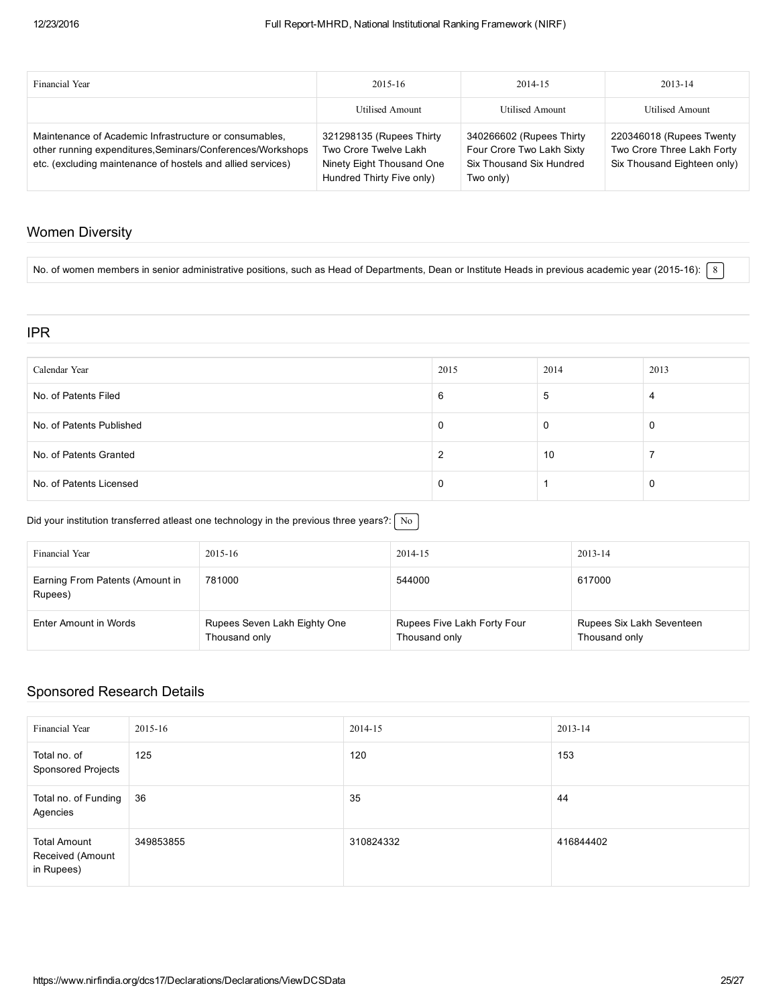| Financial Year                                                                                                                                                                      | 2015-16                                                                                                     | 2014-15                                                                                        | 2013-14                                                                               |
|-------------------------------------------------------------------------------------------------------------------------------------------------------------------------------------|-------------------------------------------------------------------------------------------------------------|------------------------------------------------------------------------------------------------|---------------------------------------------------------------------------------------|
|                                                                                                                                                                                     | Utilised Amount                                                                                             | <b>Utilised Amount</b>                                                                         | Utilised Amount                                                                       |
| Maintenance of Academic Infrastructure or consumables.<br>other running expenditures, Seminars/Conferences/Workshops<br>etc. (excluding maintenance of hostels and allied services) | 321298135 (Rupees Thirty<br>Two Crore Twelve Lakh<br>Ninety Eight Thousand One<br>Hundred Thirty Five only) | 340266602 (Rupees Thirty<br>Four Crore Two Lakh Sixty<br>Six Thousand Six Hundred<br>Two only) | 220346018 (Rupees Twenty<br>Two Crore Three Lakh Forty<br>Six Thousand Eighteen only) |

## Women Diversity

No. of women members in senior administrative positions, such as Head of Departments, Dean or Institute Heads in previous academic year (2015-16):  $8$ 

#### IPR

| Calendar Year            | 2015 | 2014 | 2013 |
|--------------------------|------|------|------|
| No. of Patents Filed     | 6    | 5    | 4    |
| No. of Patents Published |      | 0    |      |
| No. of Patents Granted   |      | 10   |      |
| No. of Patents Licensed  |      |      |      |

#### Did your institution transferred atleast one technology in the previous three years?:  $\sqrt{\phantom{a}}$  No

| Financial Year                             | 2015-16                                       | 2014-15                                      | 2013-14                                    |
|--------------------------------------------|-----------------------------------------------|----------------------------------------------|--------------------------------------------|
| Earning From Patents (Amount in<br>Rupees) | 781000                                        | 544000                                       | 617000                                     |
| Enter Amount in Words                      | Rupees Seven Lakh Eighty One<br>Thousand only | Rupees Five Lakh Forty Four<br>Thousand only | Rupees Six Lakh Seventeen<br>Thousand only |

### Sponsored Research Details

| <b>Financial Year</b>                                 | 2015-16   | 2014-15   | 2013-14   |
|-------------------------------------------------------|-----------|-----------|-----------|
| Total no. of<br>Sponsored Projects                    | 125       | 120       | 153       |
| Total no. of Funding<br>Agencies                      | 36        | 35        | 44        |
| <b>Total Amount</b><br>Received (Amount<br>in Rupees) | 349853855 | 310824332 | 416844402 |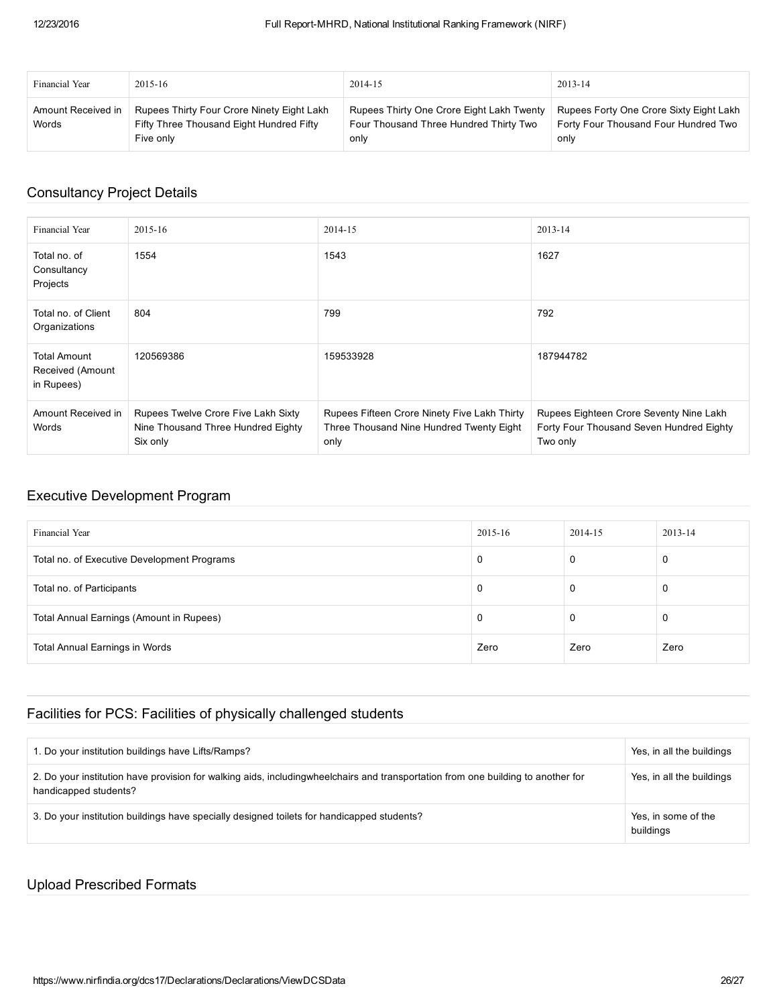| Financial Year              | $2015 - 16$                                                                                         | 2014-15                                                                                     | 2013-14                                                                                 |
|-----------------------------|-----------------------------------------------------------------------------------------------------|---------------------------------------------------------------------------------------------|-----------------------------------------------------------------------------------------|
| Amount Received in<br>Words | Rupees Thirty Four Crore Ninety Eight Lakh<br>Fifty Three Thousand Eight Hundred Fifty<br>Five only | Rupees Thirty One Crore Eight Lakh Twenty<br>Four Thousand Three Hundred Thirty Two<br>only | Rupees Forty One Crore Sixty Eight Lakh<br>Forty Four Thousand Four Hundred Two<br>only |

## Consultancy Project Details

| Financial Year                                        | 2015-16                                                                               | 2014-15                                                                                          | 2013-14                                                                                         |
|-------------------------------------------------------|---------------------------------------------------------------------------------------|--------------------------------------------------------------------------------------------------|-------------------------------------------------------------------------------------------------|
| Total no. of<br>Consultancy<br>Projects               | 1554                                                                                  | 1543                                                                                             | 1627                                                                                            |
| Total no. of Client<br>Organizations                  | 804                                                                                   | 799                                                                                              | 792                                                                                             |
| <b>Total Amount</b><br>Received (Amount<br>in Rupees) | 120569386                                                                             | 159533928                                                                                        | 187944782                                                                                       |
| Amount Received in<br>Words                           | Rupees Twelve Crore Five Lakh Sixty<br>Nine Thousand Three Hundred Eighty<br>Six only | Rupees Fifteen Crore Ninety Five Lakh Thirty<br>Three Thousand Nine Hundred Twenty Eight<br>only | Rupees Eighteen Crore Seventy Nine Lakh<br>Forty Four Thousand Seven Hundred Eighty<br>Two only |

## Executive Development Program

| Financial Year                              | 2015-16 | 2014-15 | 2013-14 |
|---------------------------------------------|---------|---------|---------|
| Total no. of Executive Development Programs | 0       |         | 0       |
| Total no. of Participants                   | - 0     |         | 0       |
| Total Annual Earnings (Amount in Rupees)    | 0       |         | 0       |
| Total Annual Earnings in Words              | Zero    | Zero    | Zero    |

## Facilities for PCS: Facilities of physically challenged students

| 1. Do your institution buildings have Lifts/Ramps?                                                                                                        | Yes, in all the buildings        |
|-----------------------------------------------------------------------------------------------------------------------------------------------------------|----------------------------------|
| 2. Do your institution have provision for walking aids, includingwheelchairs and transportation from one building to another for<br>handicapped students? | Yes, in all the buildings        |
| 3. Do your institution buildings have specially designed toilets for handicapped students?                                                                | Yes, in some of the<br>buildings |

## Upload Prescribed Formats